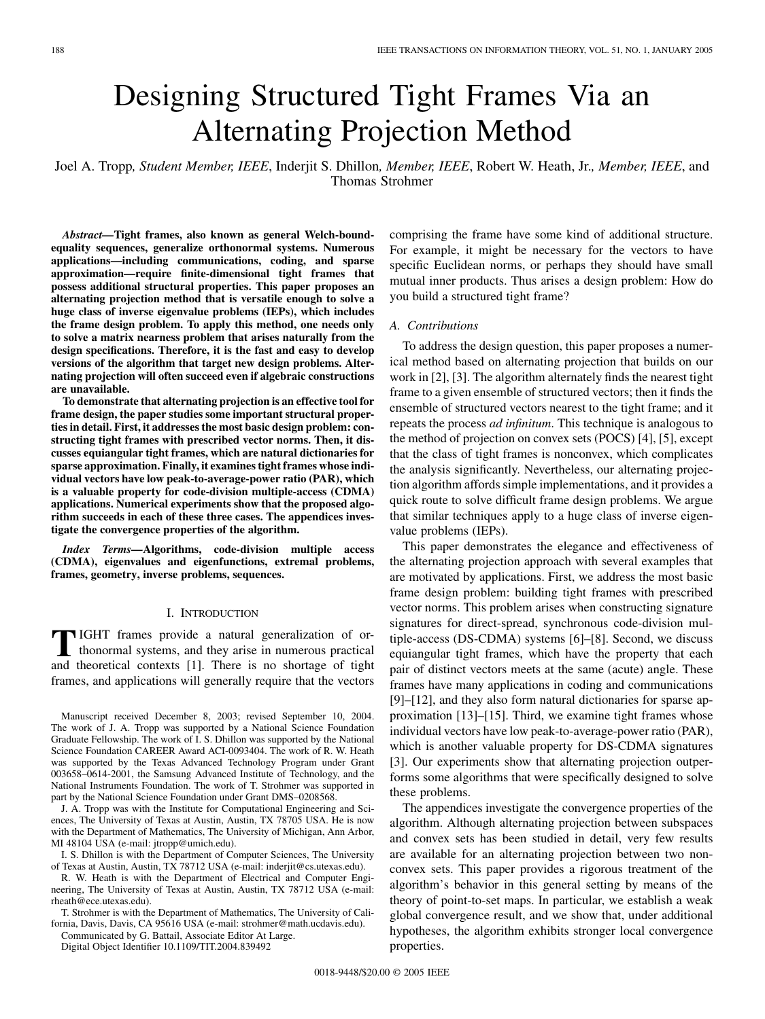# Designing Structured Tight Frames Via an Alternating Projection Method

Joel A. Tropp*, Student Member, IEEE*, Inderjit S. Dhillon*, Member, IEEE*, Robert W. Heath, Jr.*, Member, IEEE*, and Thomas Strohmer

*Abstract—***Tight frames, also known as general Welch-boundequality sequences, generalize orthonormal systems. Numerous applications—including communications, coding, and sparse approximation—require finite-dimensional tight frames that possess additional structural properties. This paper proposes an alternating projection method that is versatile enough to solve a huge class of inverse eigenvalue problems (IEPs), which includes the frame design problem. To apply this method, one needs only to solve a matrix nearness problem that arises naturally from the design specifications. Therefore, it is the fast and easy to develop versions of the algorithm that target new design problems. Alternating projection will often succeed even if algebraic constructions are unavailable.**

**To demonstrate that alternating projection is an effective tool for frame design, the paper studies some important structural properties in detail. First, it addresses the most basic design problem: constructing tight frames with prescribed vector norms. Then, it discusses equiangular tight frames, which are natural dictionaries for sparse approximation. Finally, it examines tight frames whose individual vectors have low peak-to-average-power ratio (PAR), which is a valuable property for code-division multiple-access (CDMA) applications. Numerical experiments show that the proposed algorithm succeeds in each of these three cases. The appendices investigate the convergence properties of the algorithm.**

*Index Terms—***Algorithms, code-division multiple access (CDMA), eigenvalues and eigenfunctions, extremal problems, frames, geometry, inverse problems, sequences.**

#### I. INTRODUCTION

**T**IGHT frames provide a natural generalization of or-<br>thonormal systems, and they arise in numerous practical<br>and theoretical sectors: [1] There is no shortene of tight and theoretical contexts [\[1](#page-19-0)]. There is no shortage of tight frames, and applications will generally require that the vectors

Manuscript received December 8, 2003; revised September 10, 2004. The work of J. A. Tropp was supported by a National Science Foundation Graduate Fellowship. The work of I. S. Dhillon was supported by the National Science Foundation CAREER Award ACI-0093404. The work of R. W. Heath was supported by the Texas Advanced Technology Program under Grant 003658–0614-2001, the Samsung Advanced Institute of Technology, and the National Instruments Foundation. The work of T. Strohmer was supported in part by the National Science Foundation under Grant DMS–0208568.

J. A. Tropp was with the Institute for Computational Engineering and Sciences, The University of Texas at Austin, Austin, TX 78705 USA. He is now with the Department of Mathematics, The University of Michigan, Ann Arbor, MI 48104 USA (e-mail: jtropp@umich.edu).

I. S. Dhillon is with the Department of Computer Sciences, The University of Texas at Austin, Austin, TX 78712 USA (e-mail: inderjit@cs.utexas.edu).

R. W. Heath is with the Department of Electrical and Computer Engineering, The University of Texas at Austin, Austin, TX 78712 USA (e-mail: rheath@ece.utexas.edu).

T. Strohmer is with the Department of Mathematics, The University of California, Davis, Davis, CA 95616 USA (e-mail: strohmer@math.ucdavis.edu).

Communicated by G. Battail, Associate Editor At Large.

Digital Object Identifier 10.1109/TIT.2004.839492

comprising the frame have some kind of additional structure. For example, it might be necessary for the vectors to have specific Euclidean norms, or perhaps they should have small mutual inner products. Thus arises a design problem: How do you build a structured tight frame?

# *A. Contributions*

To address the design question, this paper proposes a numerical method based on alternating projection that builds on our work in [\[2](#page-19-0)], [\[3](#page-19-0)]. The algorithm alternately finds the nearest tight frame to a given ensemble of structured vectors; then it finds the ensemble of structured vectors nearest to the tight frame; and it repeats the process *ad infinitum*. This technique is analogous to the method of projection on convex sets (POCS) [[4\]](#page-19-0), [[5\]](#page-19-0), except that the class of tight frames is nonconvex, which complicates the analysis significantly. Nevertheless, our alternating projection algorithm affords simple implementations, and it provides a quick route to solve difficult frame design problems. We argue that similar techniques apply to a huge class of inverse eigenvalue problems (IEPs).

This paper demonstrates the elegance and effectiveness of the alternating projection approach with several examples that are motivated by applications. First, we address the most basic frame design problem: building tight frames with prescribed vector norms. This problem arises when constructing signature signatures for direct-spread, synchronous code-division multiple-access (DS-CDMA) systems [\[6](#page-19-0)]–[[8\]](#page-19-0). Second, we discuss equiangular tight frames, which have the property that each pair of distinct vectors meets at the same (acute) angle. These frames have many applications in coding and communications [[9\]](#page-19-0)–[[12\]](#page-19-0), and they also form natural dictionaries for sparse approximation [[13\]](#page-19-0)–[\[15](#page-19-0)]. Third, we examine tight frames whose individual vectors have low peak-to-average-power ratio (PAR), which is another valuable property for DS-CDMA signatures [[3\]](#page-19-0). Our experiments show that alternating projection outperforms some algorithms that were specifically designed to solve these problems.

The appendices investigate the convergence properties of the algorithm. Although alternating projection between subspaces and convex sets has been studied in detail, very few results are available for an alternating projection between two nonconvex sets. This paper provides a rigorous treatment of the algorithm's behavior in this general setting by means of the theory of point-to-set maps. In particular, we establish a weak global convergence result, and we show that, under additional hypotheses, the algorithm exhibits stronger local convergence properties.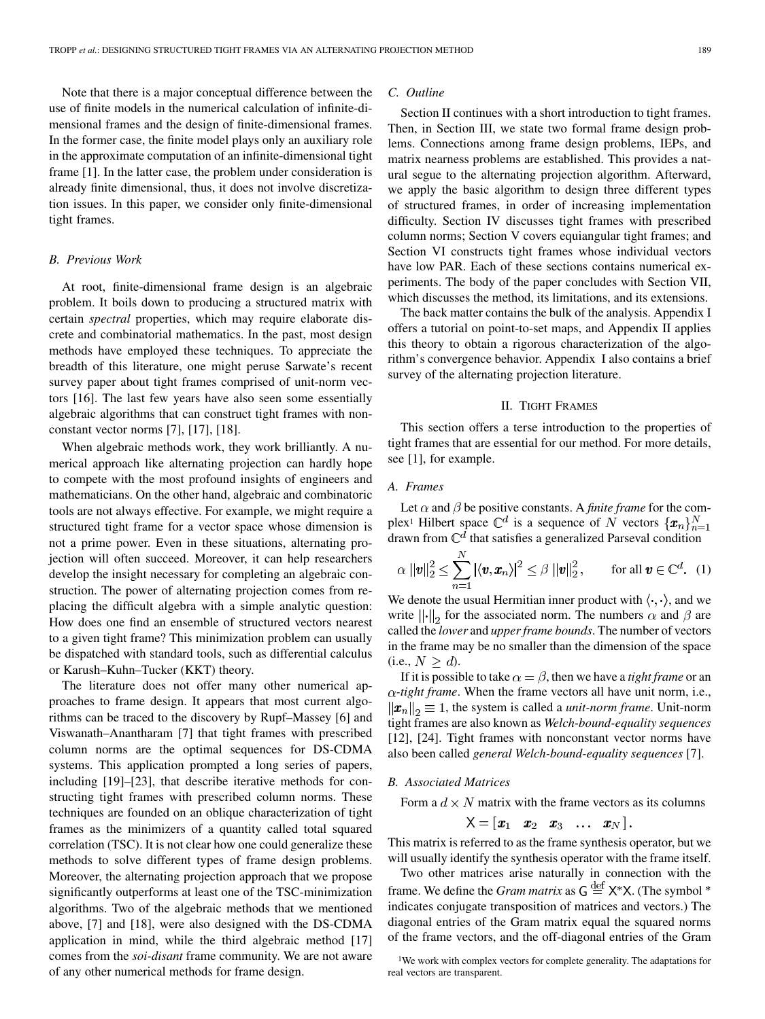Note that there is a major conceptual difference between the use of finite models in the numerical calculation of infinite-dimensional frames and the design of finite-dimensional frames. In the former case, the finite model plays only an auxiliary role in the approximate computation of an infinite-dimensional tight frame [\[1](#page-19-0)]. In the latter case, the problem under consideration is already finite dimensional, thus, it does not involve discretization issues. In this paper, we consider only finite-dimensional tight frames.

## *B. Previous Work*

At root, finite-dimensional frame design is an algebraic problem. It boils down to producing a structured matrix with certain *spectral* properties, which may require elaborate discrete and combinatorial mathematics. In the past, most design methods have employed these techniques. To appreciate the breadth of this literature, one might peruse Sarwate's recent survey paper about tight frames comprised of unit-norm vectors [\[16\]](#page-19-0). The last few years have also seen some essentially algebraic algorithms that can construct tight frames with nonconstant vector norms [\[7](#page-19-0)], [\[17](#page-19-0)], [\[18](#page-19-0)].

When algebraic methods work, they work brilliantly. A numerical approach like alternating projection can hardly hope to compete with the most profound insights of engineers and mathematicians. On the other hand, algebraic and combinatoric tools are not always effective. For example, we might require a structured tight frame for a vector space whose dimension is not a prime power. Even in these situations, alternating projection will often succeed. Moreover, it can help researchers develop the insight necessary for completing an algebraic construction. The power of alternating projection comes from replacing the difficult algebra with a simple analytic question: How does one find an ensemble of structured vectors nearest to a given tight frame? This minimization problem can usually be dispatched with standard tools, such as differential calculus or Karush–Kuhn–Tucker (KKT) theory.

The literature does not offer many other numerical approaches to frame design. It appears that most current algorithms can be traced to the discovery by Rupf–Massey [[6\]](#page-19-0) and Viswanath–Anantharam [[7\]](#page-19-0) that tight frames with prescribed column norms are the optimal sequences for DS-CDMA systems. This application prompted a long series of papers, including [\[19](#page-19-0)]–[[23\]](#page-19-0), that describe iterative methods for constructing tight frames with prescribed column norms. These techniques are founded on an oblique characterization of tight frames as the minimizers of a quantity called total squared correlation (TSC). It is not clear how one could generalize these methods to solve different types of frame design problems. Moreover, the alternating projection approach that we propose significantly outperforms at least one of the TSC-minimization algorithms. Two of the algebraic methods that we mentioned above, [\[7](#page-19-0)] and [[18\]](#page-19-0), were also designed with the DS-CDMA application in mind, while the third algebraic method [[17\]](#page-19-0) comes from the *soi-disant* frame community. We are not aware of any other numerical methods for frame design.

## *C. Outline*

Section II continues with a short introduction to tight frames. Then, in Section III, we state two formal frame design problems. Connections among frame design problems, IEPs, and matrix nearness problems are established. This provides a natural segue to the alternating projection algorithm. Afterward, we apply the basic algorithm to design three different types of structured frames, in order of increasing implementation difficulty. Section IV discusses tight frames with prescribed column norms; Section V covers equiangular tight frames; and Section VI constructs tight frames whose individual vectors have low PAR. Each of these sections contains numerical experiments. The body of the paper concludes with Section VII, which discusses the method, its limitations, and its extensions.

The back matter contains the bulk of the analysis. Appendix I offers a tutorial on point-to-set maps, and Appendix II applies this theory to obtain a rigorous characterization of the algorithm's convergence behavior. Appendix I also contains a brief survey of the alternating projection literature.

#### II. TIGHT FRAMES

This section offers a terse introduction to the properties of tight frames that are essential for our method. For more details, see [\[1](#page-19-0)], for example.

# *A. Frames*

Let  $\alpha$  and  $\beta$  be positive constants. A *finite frame* for the complex<sup>1</sup> Hilbert space  $\mathbb{C}^d$  is a sequence of N vectors  $\{x_n\}_{n=1}^N$ drawn from  $\mathbb{C}^d$  that satisfies a generalized Parseval condition

$$
\alpha \|\boldsymbol{v}\|_2^2 \leq \sum_{n=1}^N |\langle \boldsymbol{v}, \boldsymbol{x}_n \rangle|^2 \leq \beta \|\boldsymbol{v}\|_2^2, \qquad \text{for all } \boldsymbol{v} \in \mathbb{C}^d. \tag{1}
$$

We denote the usual Hermitian inner product with  $\langle \cdot, \cdot \rangle$ , and we write  $\left\Vert \cdot \right\Vert_2$  for the associated norm. The numbers  $\alpha$  and  $\beta$  are called the *lower* and *upper frame bounds*. The number of vectors in the frame may be no smaller than the dimension of the space  $(i.e., N > d).$ 

If it is possible to take  $\alpha = \beta$ , then we have a *tight frame* or an  $\alpha$ -tight frame. When the frame vectors all have unit norm, i.e.,  $||x_n||_2 \equiv 1$ , the system is called a *unit-norm frame*. Unit-norm tight frames are also known as *Welch-bound-equality sequences* [\[12](#page-19-0)], [\[24](#page-19-0)]. Tight frames with nonconstant vector norms have also been called *general Welch-bound-equality sequences* [\[7](#page-19-0)].

#### *B. Associated Matrices*

Form a  $d \times N$  matrix with the frame vectors as its columns

$$
\mathsf{X}\!=\!\begin{bmatrix} \boldsymbol{x}_1 & \boldsymbol{x}_2 & \boldsymbol{x}_3 & \dots & \boldsymbol{x}_N \end{bmatrix}
$$

This matrix is referred to as the frame synthesis operator, but we will usually identify the synthesis operator with the frame itself.

Two other matrices arise naturally in connection with the frame. We define the *Gram matrix* as  $\mathbf{G} \stackrel{\text{def}}{=} \mathsf{X}^* \mathsf{X}$ . (The symbol  $^*$ indicates conjugate transposition of matrices and vectors.) The diagonal entries of the Gram matrix equal the squared norms of the frame vectors, and the off-diagonal entries of the Gram

<sup>1</sup>We work with complex vectors for complete generality. The adaptations for real vectors are transparent.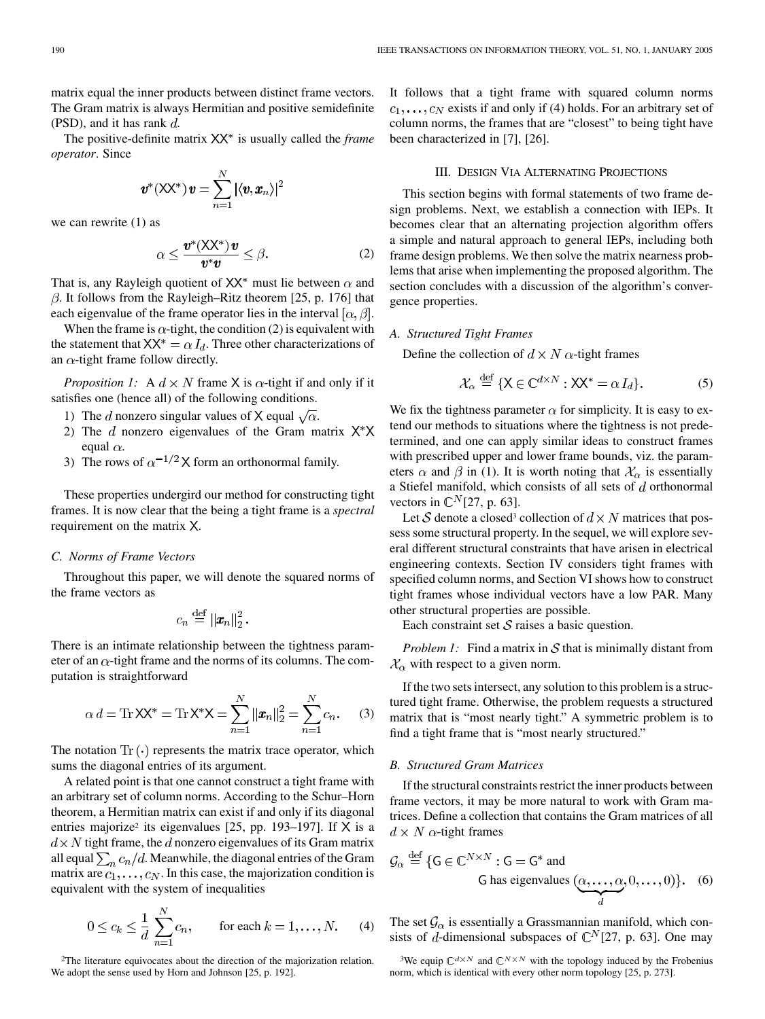matrix equal the inner products between distinct frame vectors. The Gram matrix is always Hermitian and positive semidefinite (PSD), and it has rank  $d$ .

The positive-definite matrix  $XX^*$  is usually called the *frame operator*. Since

$$
\boldsymbol{v}^*(\mathsf{X}\mathsf{X}^*)\,\boldsymbol{v}=\sum_{n=1}^N|\langle \boldsymbol{v},\boldsymbol{x}_n\rangle|^2
$$

we can rewrite (1) as

$$
\alpha \leq \frac{\mathbf{v}^*(\mathbf{X}\mathbf{X}^*)\mathbf{v}}{\mathbf{v}^*\mathbf{v}} \leq \beta. \tag{2}
$$

That is, any Rayleigh quotient of  $XX^*$  must lie between  $\alpha$  and  $\beta$ . It follows from the Rayleigh–Ritz theorem [\[25,](#page-19-0) p. 176] that each eigenvalue of the frame operator lies in the interval  $[\alpha, \beta]$ .

When the frame is  $\alpha$ -tight, the condition (2) is equivalent with the statement that  $XX^* = \alpha I_d$ . Three other characterizations of an  $\alpha$ -tight frame follow directly.

*Proposition 1:* A  $d \times N$  frame X is  $\alpha$ -tight if and only if it satisfies one (hence all) of the following conditions.

- 1) The d nonzero singular values of X equal  $\sqrt{\alpha}$ .
- 2) The d nonzero eigenvalues of the Gram matrix  $X^*X$ equal  $\alpha$ .
- 3) The rows of  $\alpha^{-1/2}$  X form an orthonormal family.

These properties undergird our method for constructing tight frames. It is now clear that the being a tight frame is a *spectral* requirement on the matrix X.

#### *C. Norms of Frame Vectors*

Throughout this paper, we will denote the squared norms of the frame vectors as

$$
c_n \stackrel{\text{def}}{=} ||\pmb{x}_n||_2^2.
$$

There is an intimate relationship between the tightness parameter of an  $\alpha$ -tight frame and the norms of its columns. The computation is straightforward

$$
\alpha d = \text{Tr } \mathsf{X} \mathsf{X}^* = \text{Tr } \mathsf{X}^* \mathsf{X} = \sum_{n=1}^N ||\pmb{x}_n||_2^2 = \sum_{n=1}^N c_n.
$$
 (3)

The notation  $Tr(\cdot)$  represents the matrix trace operator, which sums the diagonal entries of its argument.

A related point is that one cannot construct a tight frame with an arbitrary set of column norms. According to the Schur–Horn theorem, a Hermitian matrix can exist if and only if its diagonal entries majorize<sup>2</sup> its eigenvalues  $[25, pp. 193-197]$  $[25, pp. 193-197]$ . If X is a  $d \times N$  tight frame, the d nonzero eigenvalues of its Gram matrix all equal  $\sum_{n} c_n/d$ . Meanwhile, the diagonal entries of the Gram matrix are  $c_1, \ldots, c_N$ . In this case, the majorization condition is equivalent with the system of inequalities

$$
0 \le c_k \le \frac{1}{d} \sum_{n=1}^{N} c_n, \qquad \text{for each } k = 1, \dots, N. \tag{4}
$$

2The literature equivocates about the direction of the majorization relation. We adopt the sense used by Horn and Johnson [\[25,](#page-19-0) p. 192].

It follows that a tight frame with squared column norms  $c_1, \ldots, c_N$  exists if and only if (4) holds. For an arbitrary set of column norms, the frames that are "closest" to being tight have been characterized in [\[7](#page-19-0)], [[26\]](#page-19-0).

#### III. DESIGN VIA ALTERNATING PROJECTIONS

This section begins with formal statements of two frame design problems. Next, we establish a connection with IEPs. It becomes clear that an alternating projection algorithm offers a simple and natural approach to general IEPs, including both frame design problems. We then solve the matrix nearness problems that arise when implementing the proposed algorithm. The section concludes with a discussion of the algorithm's convergence properties.

## *A. Structured Tight Frames*

Define the collection of  $d \times N$   $\alpha$ -tight frames

$$
\mathcal{X}_{\alpha} \stackrel{\text{def}}{=} \{ X \in \mathbb{C}^{d \times N} : XX^* = \alpha I_d \}. \tag{5}
$$

We fix the tightness parameter  $\alpha$  for simplicity. It is easy to extend our methods to situations where the tightness is not predetermined, and one can apply similar ideas to construct frames with prescribed upper and lower frame bounds, viz. the parameters  $\alpha$  and  $\beta$  in (1). It is worth noting that  $\mathcal{X}_{\alpha}$  is essentially a Stiefel manifold, which consists of all sets of  $d$  orthonormal vectors in  $\mathbb{C}^N[27, p. 63]$  $\mathbb{C}^N[27, p. 63]$  $\mathbb{C}^N[27, p. 63]$ .

Let S denote a closed<sup>3</sup> collection of  $d \times N$  matrices that possess some structural property. In the sequel, we will explore several different structural constraints that have arisen in electrical engineering contexts. Section IV considers tight frames with specified column norms, and Section VI shows how to construct tight frames whose individual vectors have a low PAR. Many other structural properties are possible.

Each constraint set  $S$  raises a basic question.

*Problem 1:* Find a matrix in  $S$  that is minimally distant from  $\mathcal{X}_{\alpha}$  with respect to a given norm.

If the two sets intersect, any solution to this problem is a structured tight frame. Otherwise, the problem requests a structured matrix that is "most nearly tight." A symmetric problem is to find a tight frame that is "most nearly structured."

## *B. Structured Gram Matrices*

If the structural constraints restrict the inner products between frame vectors, it may be more natural to work with Gram matrices. Define a collection that contains the Gram matrices of all  $d \times N$   $\alpha$ -tight frames

$$
\mathcal{G}_{\alpha} \stackrel{\text{def}}{=} \{ \mathsf{G} \in \mathbb{C}^{N \times N} : \mathsf{G} = \mathsf{G}^* \text{ and } \\ \mathsf{G} \text{ has eigenvalues } (\underbrace{\alpha, \dots, \alpha}_{d}, 0, \dots, 0) \}. \quad (6)
$$

The set  $\mathcal{G}_{\alpha}$  is essentially a Grassmannian manifold, which consists of d-dimensional subspaces of  $\mathbb{C}^N[27, p. 63]$  $\mathbb{C}^N[27, p. 63]$  $\mathbb{C}^N[27, p. 63]$ . One may

<sup>&</sup>lt;sup>3</sup>We equip  $\mathbb{C}^{d\times N}$  and  $\mathbb{C}^{N\times N}$  with the topology induced by the Frobenius norm, which is identical with every other norm topology [[25,](#page-19-0) p. 273].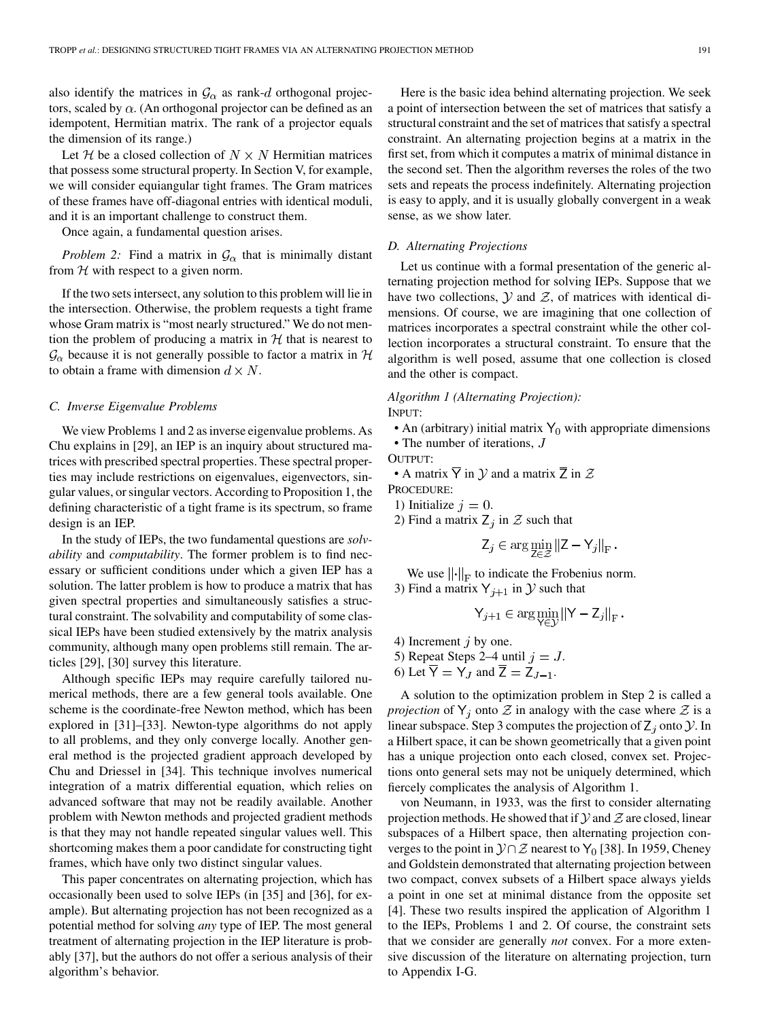also identify the matrices in  $\mathcal{G}_{\alpha}$  as rank-d orthogonal projectors, scaled by  $\alpha$ . (An orthogonal projector can be defined as an idempotent, Hermitian matrix. The rank of a projector equals the dimension of its range.)

Let  $H$  be a closed collection of  $N \times N$  Hermitian matrices that possess some structural property. In Section V, for example, we will consider equiangular tight frames. The Gram matrices of these frames have off-diagonal entries with identical moduli, and it is an important challenge to construct them.

Once again, a fundamental question arises.

*Problem 2:* Find a matrix in  $\mathcal{G}_{\alpha}$  that is minimally distant from  $H$  with respect to a given norm.

If the two sets intersect, any solution to this problem will lie in the intersection. Otherwise, the problem requests a tight frame whose Gram matrix is "most nearly structured." We do not mention the problem of producing a matrix in  $H$  that is nearest to  $\mathcal{G}_{\alpha}$  because it is not generally possible to factor a matrix in  $\mathcal{H}$ to obtain a frame with dimension  $d \times N$ .

#### *C. Inverse Eigenvalue Problems*

We view Problems 1 and 2 as inverse eigenvalue problems. As Chu explains in [\[29](#page-19-0)], an IEP is an inquiry about structured matrices with prescribed spectral properties. These spectral properties may include restrictions on eigenvalues, eigenvectors, singular values, or singular vectors. According to Proposition 1, the defining characteristic of a tight frame is its spectrum, so frame design is an IEP.

In the study of IEPs, the two fundamental questions are *solvability* and *computability*. The former problem is to find necessary or sufficient conditions under which a given IEP has a solution. The latter problem is how to produce a matrix that has given spectral properties and simultaneously satisfies a structural constraint. The solvability and computability of some classical IEPs have been studied extensively by the matrix analysis community, although many open problems still remain. The articles [\[29](#page-19-0)], [\[30\]](#page-19-0) survey this literature.

Although specific IEPs may require carefully tailored numerical methods, there are a few general tools available. One scheme is the coordinate-free Newton method, which has been explored in [\[31](#page-20-0)]–[[33\]](#page-20-0). Newton-type algorithms do not apply to all problems, and they only converge locally. Another general method is the projected gradient approach developed by Chu and Driessel in [\[34](#page-20-0)]. This technique involves numerical integration of a matrix differential equation, which relies on advanced software that may not be readily available. Another problem with Newton methods and projected gradient methods is that they may not handle repeated singular values well. This shortcoming makes them a poor candidate for constructing tight frames, which have only two distinct singular values.

This paper concentrates on alternating projection, which has occasionally been used to solve IEPs (in [[35\]](#page-20-0) and [\[36](#page-20-0)], for example). But alternating projection has not been recognized as a potential method for solving *any* type of IEP. The most general treatment of alternating projection in the IEP literature is probably [[37\]](#page-20-0), but the authors do not offer a serious analysis of their algorithm's behavior.

Here is the basic idea behind alternating projection. We seek a point of intersection between the set of matrices that satisfy a structural constraint and the set of matrices that satisfy a spectral constraint. An alternating projection begins at a matrix in the first set, from which it computes a matrix of minimal distance in the second set. Then the algorithm reverses the roles of the two sets and repeats the process indefinitely. Alternating projection is easy to apply, and it is usually globally convergent in a weak sense, as we show later.

# *D. Alternating Projections*

Let us continue with a formal presentation of the generic alternating projection method for solving IEPs. Suppose that we have two collections,  $\mathcal Y$  and  $\mathcal Z$ , of matrices with identical dimensions. Of course, we are imagining that one collection of matrices incorporates a spectral constraint while the other collection incorporates a structural constraint. To ensure that the algorithm is well posed, assume that one collection is closed and the other is compact.

# *Algorithm 1 (Alternating Projection):* INPUT:

• An (arbitrary) initial matrix  $Y_0$  with appropriate dimensions • The number of iterations,  $J$ 

OUTPUT:

• A matrix  $\overline{Y}$  in  $\mathcal Y$  and a matrix  $\overline{Z}$  in  $\mathcal Z$ 

PROCEDURE:

1) Initialize  $j = 0$ .

2) Find a matrix  $Z_j$  in  $\mathcal Z$  such that

$$
Z_j \in \arg\min_{Z \in \mathcal{Z}} \left\| Z - Y_j \right\|_{\mathrm{F}}.
$$

We use  $\left\| \cdot \right\|_{\text{F}}$  to indicate the Frobenius norm. 3) Find a matrix  $Y_{i+1}$  in  $Y$  such that

$$
\mathsf{Y}_{j+1} \in \arg\min_{\mathsf{Y} \in \mathcal{Y}} \left\| \mathsf{Y} - \mathsf{Z}_j \right\|_{\mathrm{F}}.
$$

4) Increment  $i$  by one.

5) Repeat Steps 2–4 until  $j = J$ .

6) Let  $\overline{Y} = Y_I$  and  $\overline{Z} = Z_{I-1}$ .

A solution to the optimization problem in Step 2 is called a *projection* of  $Y_i$  onto  $\mathcal Z$  in analogy with the case where  $\mathcal Z$  is a linear subspace. Step 3 computes the projection of  $Z_i$  onto  $Y$ . In a Hilbert space, it can be shown geometrically that a given point has a unique projection onto each closed, convex set. Projections onto general sets may not be uniquely determined, which fiercely complicates the analysis of Algorithm 1.

von Neumann, in 1933, was the first to consider alternating projection methods. He showed that if  $\mathcal Y$  and  $\mathcal Z$  are closed, linear subspaces of a Hilbert space, then alternating projection converges to the point in  $\mathcal{Y} \cap \mathcal{Z}$  nearest to  $Y_0$  [\[38](#page-20-0)]. In 1959, Cheney and Goldstein demonstrated that alternating projection between two compact, convex subsets of a Hilbert space always yields a point in one set at minimal distance from the opposite set [\[4](#page-19-0)]. These two results inspired the application of Algorithm 1 to the IEPs, Problems 1 and 2. Of course, the constraint sets that we consider are generally *not* convex. For a more extensive discussion of the literature on alternating projection, turn to Appendix I-G.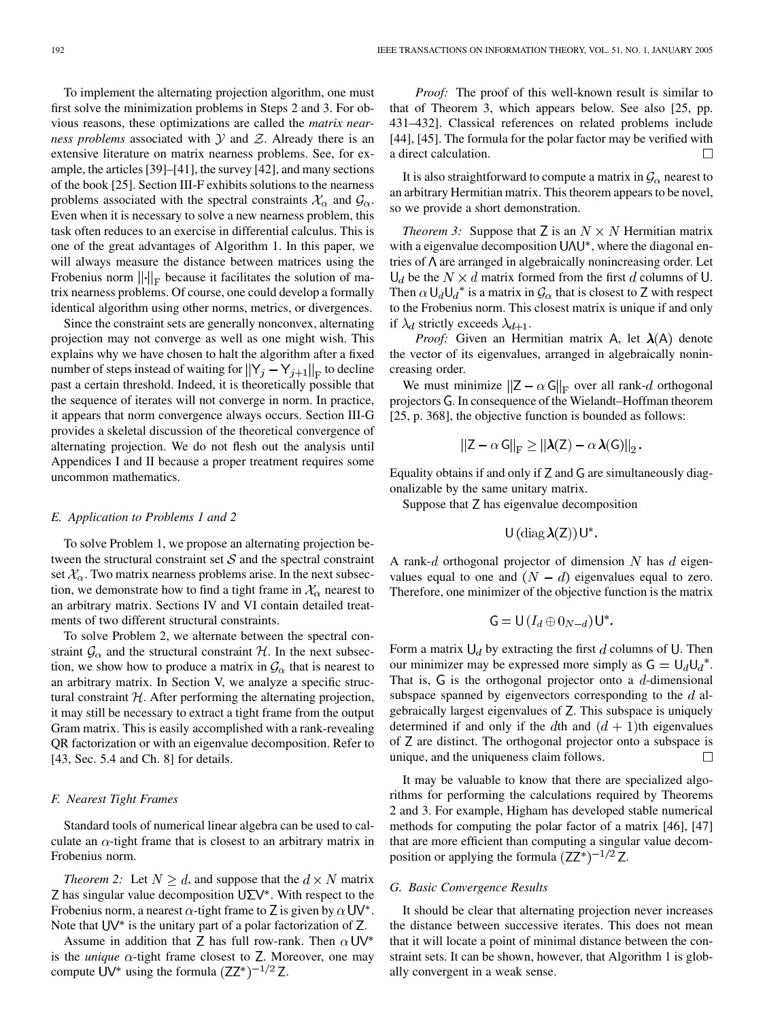To implement the alternating projection algorithm, one must first solve the minimization problems in Steps 2 and 3. For obvious reasons, these optimizations are called the *matrix nearness problems* associated with  $\mathcal Y$  and  $\mathcal Z$ . Already there is an extensive literature on matrix nearness problems. See, for example, the articles [\[39](#page-20-0)]–[[41\]](#page-20-0), the survey [[42\]](#page-20-0), and many sections of the book [[25\]](#page-19-0). Section III-F exhibits solutions to the nearness problems associated with the spectral constraints  $\mathcal{X}_{\alpha}$  and  $\mathcal{G}_{\alpha}$ . Even when it is necessary to solve a new nearness problem, this task often reduces to an exercise in differential calculus. This is

identical algorithm using other norms, metrics, or divergences. Since the constraint sets are generally nonconvex, alternating projection may not converge as well as one might wish. This explains why we have chosen to halt the algorithm after a fixed number of steps instead of waiting for  $||Y_j - Y_{j+1}||_F$  to decline past a certain threshold. Indeed, it is theoretically possible that the sequence of iterates will not converge in norm. In practice, it appears that norm convergence always occurs. Section III-G provides a skeletal discussion of the theoretical convergence of alternating projection. We do not flesh out the analysis until Appendices I and II because a proper treatment requires some uncommon mathematics.

one of the great advantages of Algorithm 1. In this paper, we will always measure the distance between matrices using the Frobenius norm  $\lVert \cdot \rVert_F$  because it facilitates the solution of matrix nearness problems. Of course, one could develop a formally

### *E. Application to Problems 1 and 2*

To solve Problem 1, we propose an alternating projection between the structural constraint set  $S$  and the spectral constraint set  $X_{\alpha}$ . Two matrix nearness problems arise. In the next subsection, we demonstrate how to find a tight frame in  $\mathcal{X}_{\alpha}$  nearest to an arbitrary matrix. Sections IV and VI contain detailed treatments of two different structural constraints.

To solve Problem 2, we alternate between the spectral constraint  $\mathcal{G}_{\alpha}$  and the structural constraint  $\mathcal{H}$ . In the next subsection, we show how to produce a matrix in  $\mathcal{G}_{\alpha}$  that is nearest to an arbitrary matrix. In Section V, we analyze a specific structural constraint  $H$ . After performing the alternating projection, it may still be necessary to extract a tight frame from the output Gram matrix. This is easily accomplished with a rank-revealing QR factorization or with an eigenvalue decomposition. Refer to [[43,](#page-20-0) Sec. 5.4 and Ch. 8] for details.

## *F. Nearest Tight Frames*

Standard tools of numerical linear algebra can be used to calculate an  $\alpha$ -tight frame that is closest to an arbitrary matrix in Frobenius norm.

*Theorem 2:* Let  $N \geq d$ , and suppose that the  $d \times N$  matrix Z has singular value decomposition  $U\Sigma V^*$ . With respect to the Frobenius norm, a nearest  $\alpha$ -tight frame to Z is given by  $\alpha$  UV<sup>\*</sup>. Note that  $UV^*$  is the unitary part of a polar factorization of  $Z$ .

Assume in addition that Z has full row-rank. Then  $\alpha$  UV\* is the *unique*  $\alpha$ -tight frame closest to Z. Moreover, one may compute UV\* using the formula  $(ZZ^*)^{-1/2}Z$ .

*Proof:* The proof of this well-known result is similar to that of Theorem 3, which appears below. See also [\[25](#page-19-0), pp. 431–432]. Classical references on related problems include [[44\]](#page-20-0), [\[45](#page-20-0)]. The formula for the polar factor may be verified with a direct calculation.  $\Box$ 

It is also straightforward to compute a matrix in  $\mathcal{G}_{\alpha}$  nearest to an arbitrary Hermitian matrix. This theorem appears to be novel, so we provide a short demonstration.

*Theorem 3:* Suppose that  $Z$  is an  $N \times N$  Hermitian matrix with a eigenvalue decomposition  $U \Lambda U^*$ , where the diagonal entries of  $\Lambda$  are arranged in algebraically nonincreasing order. Let  $\bigcup_{d}$  be the  $N \times d$  matrix formed from the first d columns of U. Then  $\alpha \bigcup_{d} \bigcup_{d}^*$  is a matrix in  $\mathcal{G}_{\alpha}$  that is closest to Z with respect to the Frobenius norm. This closest matrix is unique if and only if  $\lambda_d$  strictly exceeds  $\lambda_{d+1}$ .

*Proof:* Given an Hermitian matrix A, let  $\lambda(A)$  denote the vector of its eigenvalues, arranged in algebraically nonincreasing order.

We must minimize  $||Z - \alpha G||_F$  over all rank-d orthogonal projectors G. In consequence of the Wielandt–Hoffman theorem [[25,](#page-19-0) p. 368], the objective function is bounded as follows:

$$
\|Z - \alpha G\|_{\mathrm{F}} \ge \|\lambda(Z) - \alpha \lambda(G)\|_{2}
$$

Equality obtains if and only if  $Z$  and  $G$  are simultaneously diagonalizable by the same unitary matrix.

Suppose that  $Z$  has eigenvalue decomposition

$$
U
$$
 (diag  $\lambda$ (Z))  $U^*$ .

A rank- $d$  orthogonal projector of dimension  $N$  has  $d$  eigenvalues equal to one and  $(N - d)$  eigenvalues equal to zero. Therefore, one minimizer of the objective function is the matrix

$$
\mathsf{G}=\mathsf{U}(I_d\oplus 0_{N-d})\mathsf{U}^*.
$$

Form a matrix  $U_d$  by extracting the first d columns of U. Then our minimizer may be expressed more simply as  $G = U_d U_d^*$ . That is,  $G$  is the orthogonal projector onto a  $d$ -dimensional subspace spanned by eigenvectors corresponding to the  $d$  algebraically largest eigenvalues of Z. This subspace is uniquely determined if and only if the dth and  $(d + 1)$ th eigenvalues of Z are distinct. The orthogonal projector onto a subspace is unique, and the uniqueness claim follows.  $\Box$ 

It may be valuable to know that there are specialized algorithms for performing the calculations required by Theorems 2 and 3. For example, Higham has developed stable numerical methods for computing the polar factor of a matrix [\[46](#page-20-0)], [\[47](#page-20-0)] that are more efficient than computing a singular value decomposition or applying the formula  $(ZZ^*)^{-1/2}Z$ .

#### *G. Basic Convergence Results*

It should be clear that alternating projection never increases the distance between successive iterates. This does not mean that it will locate a point of minimal distance between the constraint sets. It can be shown, however, that Algorithm 1 is globally convergent in a weak sense.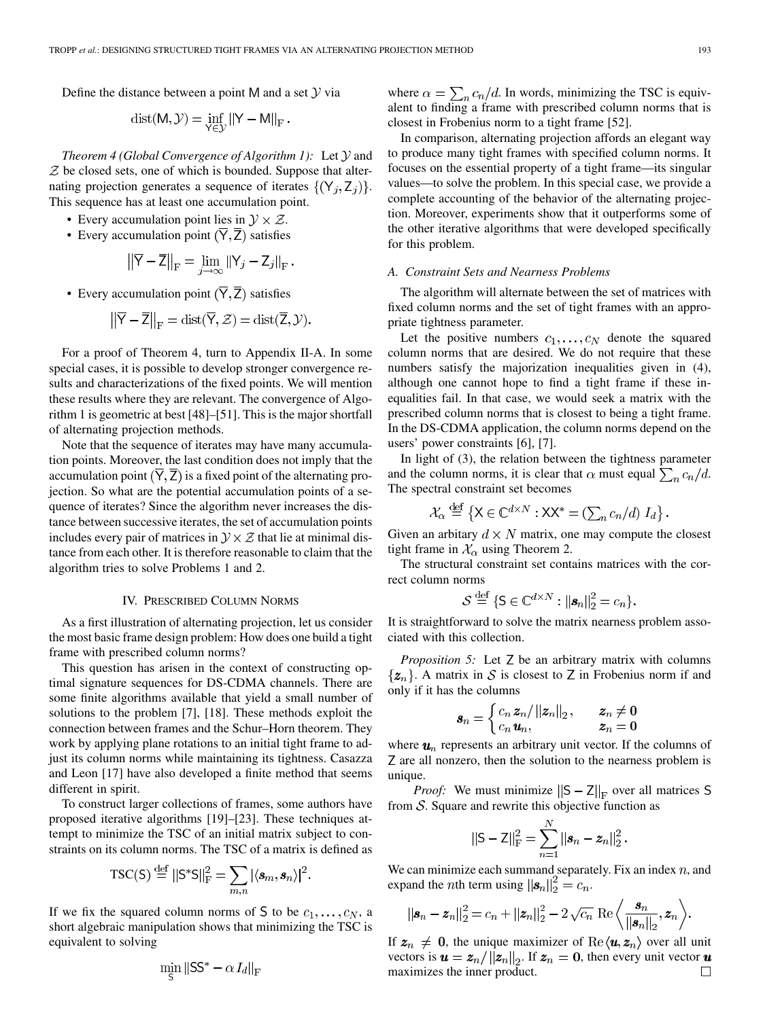Define the distance between a point M and a set  $\mathcal Y$  via

$$
\mathrm{dist}(M,\mathcal{Y})=\inf_{Y\in\mathcal{Y}}\left\Vert Y-M\right\Vert _{\mathrm{F}}
$$

*Theorem 4 (Global Convergence of Algorithm 1):* Let  $Y$  and  $\mathcal Z$  be closed sets, one of which is bounded. Suppose that alternating projection generates a sequence of iterates  $\{(\mathsf{Y}_i, \mathsf{Z}_i)\}.$ This sequence has at least one accumulation point.

- Every accumulation point lies in  $\mathcal{Y} \times \mathcal{Z}$ .
- Every accumulation point  $(\overline{Y}, \overline{Z})$  satisfies

$$
\left\| \overline{\mathsf{Y}} - \overline{\mathsf{Z}} \right\|_{\mathrm{F}} = \lim_{j \to \infty} \left\| \mathsf{Y}_j - \mathsf{Z}_j \right\|_{\mathrm{F}}
$$

• Every accumulation point  $(\overline{Y}, \overline{Z})$  satisfies

$$
\left\|\overline{\mathsf{Y}}-\overline{\mathsf{Z}}\right\|_{\mathrm{F}}=\mathrm{dist}(\overline{\mathsf{Y}},\mathcal{Z})=\mathrm{dist}(\overline{\mathsf{Z}},\mathcal{Y}).
$$

For a proof of Theorem 4, turn to Appendix II-A. In some special cases, it is possible to develop stronger convergence results and characterizations of the fixed points. We will mention these results where they are relevant. The convergence of Algorithm 1 is geometric at best [\[48](#page-20-0)]–[[51\]](#page-20-0). This is the major shortfall of alternating projection methods.

Note that the sequence of iterates may have many accumulation points. Moreover, the last condition does not imply that the accumulation point  $(\overline{Y}, \overline{Z})$  is a fixed point of the alternating projection. So what are the potential accumulation points of a sequence of iterates? Since the algorithm never increases the distance between successive iterates, the set of accumulation points includes every pair of matrices in  $\mathcal{Y} \times \mathcal{Z}$  that lie at minimal distance from each other. It is therefore reasonable to claim that the algorithm tries to solve Problems 1 and 2.

## IV. PRESCRIBED COLUMN NORMS

As a first illustration of alternating projection, let us consider the most basic frame design problem: How does one build a tight frame with prescribed column norms?

This question has arisen in the context of constructing optimal signature sequences for DS-CDMA channels. There are some finite algorithms available that yield a small number of solutions to the problem [[7\]](#page-19-0), [\[18](#page-19-0)]. These methods exploit the connection between frames and the Schur–Horn theorem. They work by applying plane rotations to an initial tight frame to adjust its column norms while maintaining its tightness. Casazza and Leon [\[17](#page-19-0)] have also developed a finite method that seems different in spirit.

To construct larger collections of frames, some authors have proposed iterative algorithms [[19\]](#page-19-0)–[\[23](#page-19-0)]. These techniques attempt to minimize the TSC of an initial matrix subject to constraints on its column norms. The TSC of a matrix is defined as

$$
TSC(S) \stackrel{\text{def}}{=} ||S^*S||_F^2 = \sum_{m,n} |\langle \boldsymbol{s}_m, \boldsymbol{s}_n \rangle|^2
$$

If we fix the squared column norms of S to be  $c_1, \ldots, c_N$ , a short algebraic manipulation shows that minimizing the TSC is equivalent to solving

$$
\min_{\mathsf{S}} \| \mathsf{S}\mathsf{S}^* - \alpha I_d \|_{\mathsf{F}}
$$

where  $\alpha = \sum_n c_n/d$ . In words, minimizing the TSC is equivalent to finding a frame with prescribed column norms that is closest in Frobenius norm to a tight frame [\[52\]](#page-20-0).

In comparison, alternating projection affords an elegant way to produce many tight frames with specified column norms. It focuses on the essential property of a tight frame—its singular values—to solve the problem. In this special case, we provide a complete accounting of the behavior of the alternating projection. Moreover, experiments show that it outperforms some of the other iterative algorithms that were developed specifically for this problem.

## *A. Constraint Sets and Nearness Problems*

The algorithm will alternate between the set of matrices with fixed column norms and the set of tight frames with an appropriate tightness parameter.

Let the positive numbers  $c_1, \ldots, c_N$  denote the squared column norms that are desired. We do not require that these numbers satisfy the majorization inequalities given in (4), although one cannot hope to find a tight frame if these inequalities fail. In that case, we would seek a matrix with the prescribed column norms that is closest to being a tight frame. In the DS-CDMA application, the column norms depend on the users' power constraints [\[6](#page-19-0)], [\[7](#page-19-0)].

In light of (3), the relation between the tightness parameter and the column norms, it is clear that  $\alpha$  must equal  $\sum_{n} c_n / d$ . The spectral constraint set becomes

$$
\mathcal{X}_{\alpha} \stackrel{\text{def}}{=} \left\{ X \in \mathbb{C}^{d \times N} : XX^* = \left( \sum_n c_n / d \right) I_d \right\}.
$$

Given an arbitary  $d \times N$  matrix, one may compute the closest tight frame in  $\mathcal{X}_{\alpha}$  using Theorem 2.

The structural constraint set contains matrices with the correct column norms

$$
\mathcal{S} \stackrel{\text{def}}{=} \{ \mathsf{S} \in \mathbb{C}^{d \times N} : ||\mathbf{s}_n||_2^2 = c_n \}.
$$

It is straightforward to solve the matrix nearness problem associated with this collection.

*Proposition 5:* Let Z be an arbitrary matrix with columns  $\{z_n\}$ . A matrix in S is closest to Z in Frobenius norm if and only if it has the columns

$$
\boldsymbol{s}_n = \left\{ \begin{matrix} c_n \, \boldsymbol{z}_n / \left\| \boldsymbol{z}_n \right\|_2, \quad & \boldsymbol{z}_n \neq \boldsymbol{0} \\ c_n \, \boldsymbol{u}_n, \quad & \boldsymbol{z}_n = \boldsymbol{0} \end{matrix} \right.
$$

where  $u_n$  represents an arbitrary unit vector. If the columns of Z are all nonzero, then the solution to the nearness problem is unique.

*Proof:* We must minimize  $||S - Z||_F$  over all matrices S from  $S$ . Square and rewrite this objective function as

$$
\|\mathsf{S}-\mathsf{Z}\|_{\mathrm{F}}^2=\sum_{n=1}^N\|\mathbf{s}_n-\mathbf{z}_n\|_2^2.
$$

We can minimize each summand separately. Fix an index  $n$ , and expand the *n*th term using  $||\mathbf{s}_n||_2^2 = c_n$ .

$$
\|\boldsymbol{s}_n-\boldsymbol{z}_n\|_2^2=c_n+\|\boldsymbol{z}_n\|_2^2-2\sqrt{c_n}\operatorname{Re}\bigg\langle\frac{\boldsymbol{s}_n}{\|\boldsymbol{s}_n\|_2},\boldsymbol{z}_n\bigg\rangle.
$$

If  $z_n \neq 0$ , the unique maximizer of  $\text{Re}\langle u, z_n \rangle$  over all unit vectors is  $\mathbf{u} = \mathbf{z}_n / ||\mathbf{z}_n||_2$ . If  $\mathbf{z}_n = \mathbf{0}$ , then every unit vector  $\mathbf{u}$ maximizes the inner product. $\Box$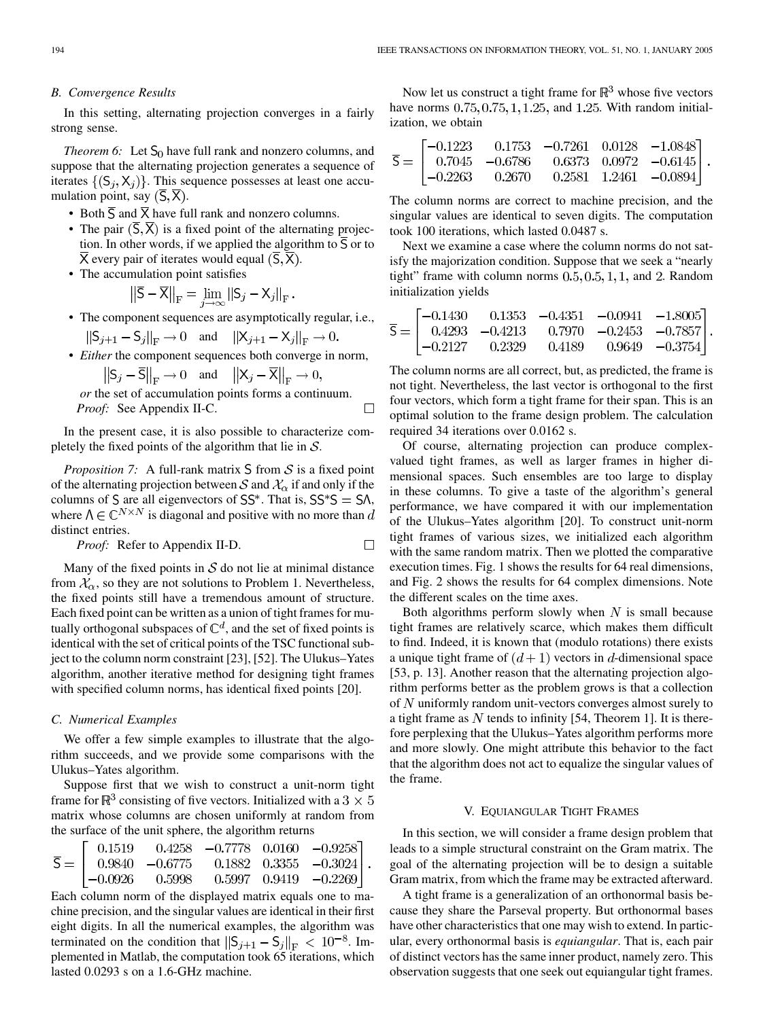## *B. Convergence Results*

In this setting, alternating projection converges in a fairly strong sense.

*Theorem 6:* Let  $S_0$  have full rank and nonzero columns, and suppose that the alternating projection generates a sequence of iterates  $\{ (S_i, X_i) \}$ . This sequence possesses at least one accumulation point, say  $(S, X)$ .

- Both  $\overline{S}$  and  $\overline{X}$  have full rank and nonzero columns.
- The pair  $(\overline{S}, \overline{X})$  is a fixed point of the alternating projection. In other words, if we applied the algorithm to  $\overline{S}$  or to  $\overline{X}$  every pair of iterates would equal  $(\overline{S}, \overline{X})$ .
- The accumulation point satisfies

$$
\left\|\overline{\mathsf{S}}-\overline{\mathsf{X}}\right\|_{\mathrm{F}}=\lim_{j\to\infty}\left\|\mathsf{S}_j-\mathsf{X}_j\right\|_{\mathrm{F}}.
$$

• The component sequences are asymptotically regular, i.e.,  $\rightarrow$  0 and  $\parallel$ X  $\overline{\mathsf{H}}$  $C$   $||$  $\mathbf{Y}$  . If  $\overline{a}$ 

$$
||\lambda_{j+1} - \lambda_{j}||_{\mathcal{F}} \to 0 \quad \text{and} \quad ||\lambda_{j+1} - \lambda_{j}||_{\mathcal{F}} \to 0.
$$

• *Either* the component sequences both converge in norm,  $\|\mathsf{S}_j - \overline{\mathsf{S}}\|_{\mathsf{F}} \to 0$  and  $\|\mathsf{X}_j - \overline{\mathsf{X}}\|_{\mathsf{F}} \to 0$ ,

*or* the set of accumulation points forms a continuum. *Proof:* See Appendix II-C.

 $\Box$ 

In the present case, it is also possible to characterize completely the fixed points of the algorithm that lie in  $S$ .

*Proposition 7:* A full-rank matrix  $S$  from  $S$  is a fixed point of the alternating projection between S and  $\mathcal{X}_{\alpha}$  if and only if the columns of S are all eigenvectors of SS<sup>\*</sup>. That is,  $SS^*S = SA$ , where  $\Lambda \in \mathbb{C}^{N \times N}$  is diagonal and positive with no more than d distinct entries.

*Proof:* Refer to Appendix II-D.  $\Box$ 

Many of the fixed points in  $S$  do not lie at minimal distance from  $\mathcal{X}_{\alpha}$ , so they are not solutions to Problem 1. Nevertheless, the fixed points still have a tremendous amount of structure. Each fixed point can be written as a union of tight frames for mutually orthogonal subspaces of  $\mathbb{C}^d$ , and the set of fixed points is identical with the set of critical points of the TSC functional subject to the column norm constraint [\[23](#page-19-0)], [\[52](#page-20-0)]. The Ulukus–Yates algorithm, another iterative method for designing tight frames with specified column norms, has identical fixed points [\[20](#page-19-0)].

# *C. Numerical Examples*

We offer a few simple examples to illustrate that the algorithm succeeds, and we provide some comparisons with the Ulukus–Yates algorithm.

Suppose first that we wish to construct a unit-norm tight frame for  $\mathbb{R}^3$  consisting of five vectors. Initialized with a  $3 \times 5$ matrix whose columns are chosen uniformly at random from the surface of the unit sphere, the algorithm returns

$$
\overline{\mathsf{S}} = \begin{bmatrix} 0.1519 & 0.4258 & -0.7778 & 0.0160 & -0.9258 \\ 0.9840 & -0.6775 & 0.1882 & 0.3355 & -0.3024 \\ -0.0926 & 0.5998 & 0.5997 & 0.9419 & -0.2269 \end{bmatrix}.
$$

Each column norm of the displayed matrix equals one to machine precision, and the singular values are identical in their first eight digits. In all the numerical examples, the algorithm was terminated on the condition that  $||S_{i+1} - S_i||_{\text{F}} < 10^{-8}$ . Implemented in Matlab, the computation took 65 iterations, which lasted 0.0293 s on a 1.6-GHz machine.

Now let us construct a tight frame for  $\mathbb{R}^3$  whose five vectors have norms  $0.75$ ,  $0.75$ ,  $1$ ,  $1.25$ , and  $1.25$ . With random initialization, we obtain

$$
\overline{\mathsf{S}} = \begin{bmatrix} -0.1223 & 0.1753 & -0.7261 & 0.0128 & -1.0848 \\ 0.7045 & -0.6786 & 0.6373 & 0.0972 & -0.6145 \\ -0.2263 & 0.2670 & 0.2581 & 1.2461 & -0.0894 \end{bmatrix}.
$$

The column norms are correct to machine precision, and the singular values are identical to seven digits. The computation took 100 iterations, which lasted 0.0487 s.

Next we examine a case where the column norms do not satisfy the majorization condition. Suppose that we seek a "nearly tight" frame with column norms  $0.5, 0.5, 1, 1$ , and 2. Random initialization yields

$$
\overline{\mathsf{S}} = \begin{bmatrix} -0.1430 & 0.1353 & -0.4351 & -0.0941 & -1.8005 \\ 0.4293 & -0.4213 & 0.7970 & -0.2453 & -0.7857 \\ -0.2127 & 0.2329 & 0.4189 & 0.9649 & -0.3754 \end{bmatrix}.
$$

The column norms are all correct, but, as predicted, the frame is not tight. Nevertheless, the last vector is orthogonal to the first four vectors, which form a tight frame for their span. This is an optimal solution to the frame design problem. The calculation required 34 iterations over 0.0162 s.

Of course, alternating projection can produce complexvalued tight frames, as well as larger frames in higher dimensional spaces. Such ensembles are too large to display in these columns. To give a taste of the algorithm's general performance, we have compared it with our implementation of the Ulukus–Yates algorithm [\[20](#page-19-0)]. To construct unit-norm tight frames of various sizes, we initialized each algorithm with the same random matrix. Then we plotted the comparative execution times. Fig. 1 shows the results for 64 real dimensions, and Fig. 2 shows the results for 64 complex dimensions. Note the different scales on the time axes.

Both algorithms perform slowly when  $N$  is small because tight frames are relatively scarce, which makes them difficult to find. Indeed, it is known that (modulo rotations) there exists a unique tight frame of  $(d + 1)$  vectors in d-dimensional space [[53,](#page-20-0) p. 13]. Another reason that the alternating projection algorithm performs better as the problem grows is that a collection of  $N$  uniformly random unit-vectors converges almost surely to a tight frame as N tends to infinity [\[54](#page-20-0), Theorem 1]. It is therefore perplexing that the Ulukus–Yates algorithm performs more and more slowly. One might attribute this behavior to the fact that the algorithm does not act to equalize the singular values of the frame.

#### V. EQUIANGULAR TIGHT FRAMES

In this section, we will consider a frame design problem that leads to a simple structural constraint on the Gram matrix. The goal of the alternating projection will be to design a suitable Gram matrix, from which the frame may be extracted afterward.

A tight frame is a generalization of an orthonormal basis because they share the Parseval property. But orthonormal bases have other characteristics that one may wish to extend. In particular, every orthonormal basis is *equiangular*. That is, each pair of distinct vectors has the same inner product, namely zero. This observation suggests that one seek out equiangular tight frames.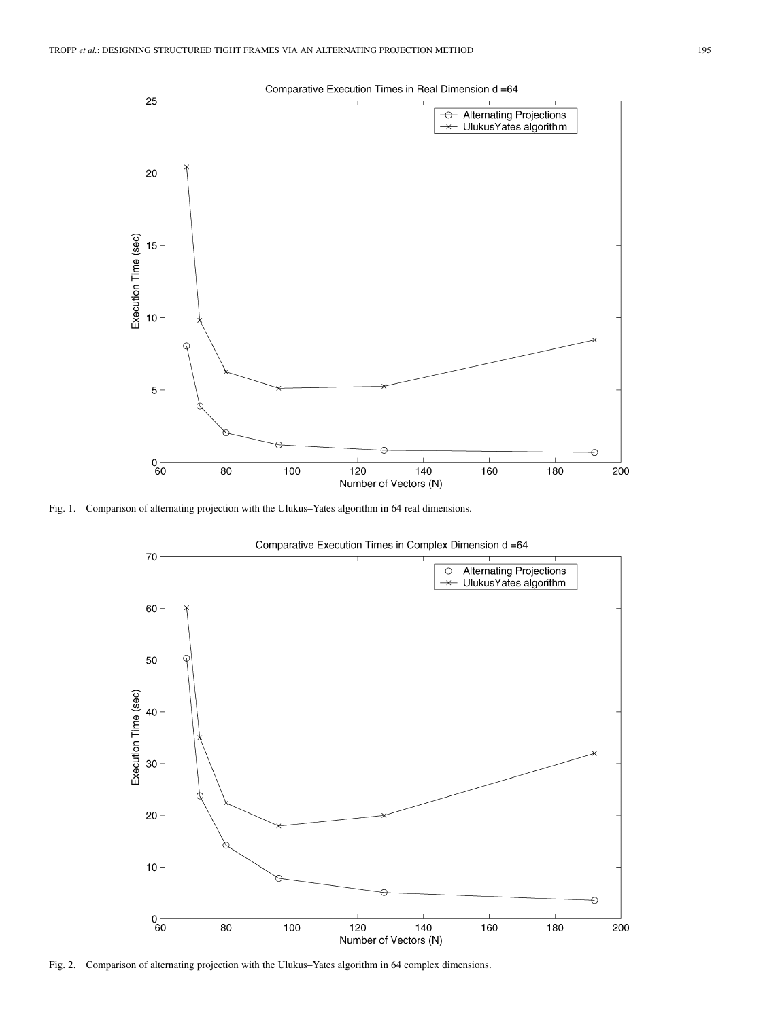Comparative Execution Times in Real Dimension d =64



Fig. 1. Comparison of alternating projection with the Ulukus–Yates algorithm in 64 real dimensions.



Fig. 2. Comparison of alternating projection with the Ulukus–Yates algorithm in 64 complex dimensions.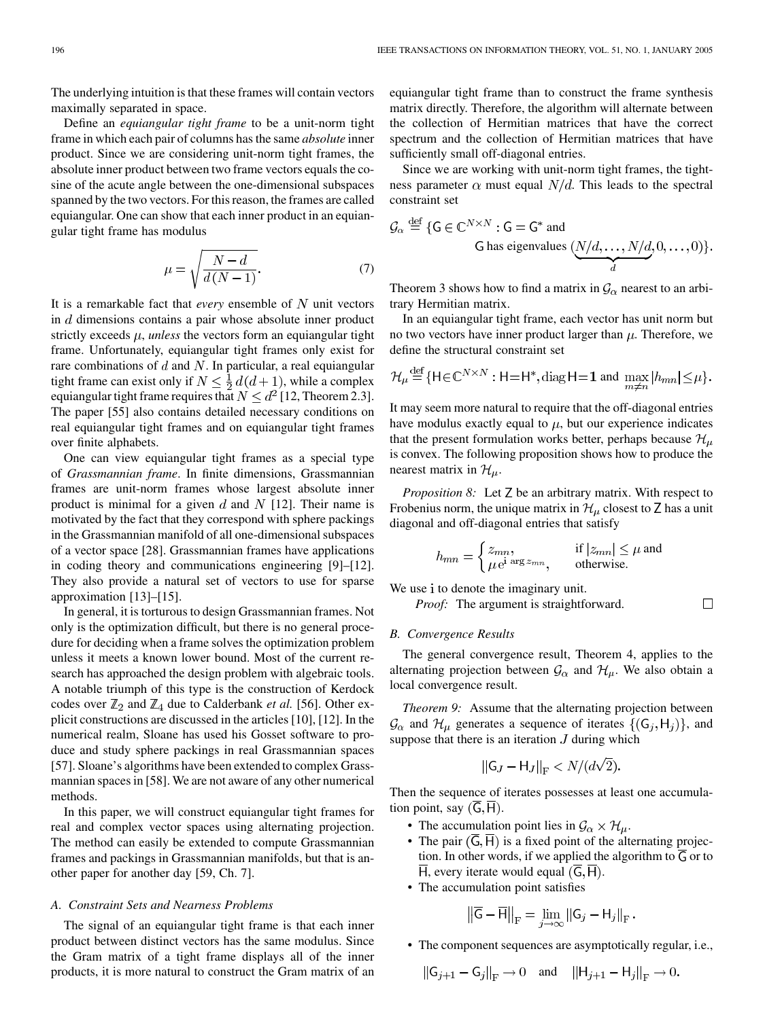The underlying intuition is that these frames will contain vectors maximally separated in space.

Define an *equiangular tight frame* to be a unit-norm tight frame in which each pair of columns has the same *absolute* inner product. Since we are considering unit-norm tight frames, the absolute inner product between two frame vectors equals the cosine of the acute angle between the one-dimensional subspaces spanned by the two vectors. For this reason, the frames are called equiangular. One can show that each inner product in an equiangular tight frame has modulus

$$
\mu = \sqrt{\frac{N - d}{d\left(N - 1\right)}}.\tag{7}
$$

It is a remarkable fact that *every* ensemble of  $N$  unit vectors in  $d$  dimensions contains a pair whose absolute inner product strictly exceeds  $\mu$ , *unless* the vectors form an equiangular tight frame. Unfortunately, equiangular tight frames only exist for rare combinations of  $d$  and  $N$ . In particular, a real equiangular tight frame can exist only if  $N \leq \frac{1}{2} d(d+1)$ , while a complex equiangular tight frame requires that  $N \leq d^2$  [[12,](#page-19-0) Theorem 2.3]. The paper [\[55\]](#page-20-0) also contains detailed necessary conditions on real equiangular tight frames and on equiangular tight frames over finite alphabets.

One can view equiangular tight frames as a special type of *Grassmannian frame*. In finite dimensions, Grassmannian frames are unit-norm frames whose largest absolute inner product is minimal for a given d and N [[12\]](#page-19-0). Their name is motivated by the fact that they correspond with sphere packings in the Grassmannian manifold of all one-dimensional subspaces of a vector space [\[28](#page-19-0)]. Grassmannian frames have applications in coding theory and communications engineering [\[9](#page-19-0)]–[[12\]](#page-19-0). They also provide a natural set of vectors to use for sparse approximation [[13\]](#page-19-0)–[\[15](#page-19-0)].

In general, it is torturous to design Grassmannian frames. Not only is the optimization difficult, but there is no general procedure for deciding when a frame solves the optimization problem unless it meets a known lower bound. Most of the current research has approached the design problem with algebraic tools. A notable triumph of this type is the construction of Kerdock codes over  $\mathbb{Z}_2$  and  $\mathbb{Z}_4$  due to Calderbank *et al.* [[56\]](#page-20-0). Other explicit constructions are discussed in the articles [\[10](#page-19-0)], [\[12](#page-19-0)]. In the numerical realm, Sloane has used his Gosset software to produce and study sphere packings in real Grassmannian spaces [[57\]](#page-20-0). Sloane's algorithms have been extended to complex Grassmannian spaces in [\[58](#page-20-0)]. We are not aware of any other numerical methods.

In this paper, we will construct equiangular tight frames for real and complex vector spaces using alternating projection. The method can easily be extended to compute Grassmannian frames and packings in Grassmannian manifolds, but that is another paper for another day [[59,](#page-20-0) Ch. 7].

#### *A. Constraint Sets and Nearness Problems*

The signal of an equiangular tight frame is that each inner product between distinct vectors has the same modulus. Since the Gram matrix of a tight frame displays all of the inner products, it is more natural to construct the Gram matrix of an

equiangular tight frame than to construct the frame synthesis matrix directly. Therefore, the algorithm will alternate between the collection of Hermitian matrices that have the correct spectrum and the collection of Hermitian matrices that have sufficiently small off-diagonal entries.

Since we are working with unit-norm tight frames, the tightness parameter  $\alpha$  must equal  $N/d$ . This leads to the spectral constraint set

$$
\mathcal{G}_{\alpha} \stackrel{\text{def}}{=} \{ \mathsf{G} \in \mathbb{C}^{N \times N} : \mathsf{G} = \mathsf{G}^* \text{ and } \\ \mathsf{G} \text{ has eigenvalues } \underbrace{(N/d, \dots, N/d, 0, \dots, 0)}.
$$

Theorem 3 shows how to find a matrix in  $\mathcal{G}_{\alpha}$  nearest to an arbitrary Hermitian matrix.

In an equiangular tight frame, each vector has unit norm but no two vectors have inner product larger than  $\mu$ . Therefore, we define the structural constraint set

$$
\mathcal{H}_{\mu} \stackrel{\text{def}}{=} \{ \mathsf{H} \in \mathbb{C}^{N \times N} : \mathsf{H} = \mathsf{H}^*, \text{diag } \mathsf{H} = 1 \text{ and } \max_{m \neq n} |h_{mn}| \leq \mu \}.
$$

It may seem more natural to require that the off-diagonal entries have modulus exactly equal to  $\mu$ , but our experience indicates that the present formulation works better, perhaps because  $\mathcal{H}_{\mu}$ is convex. The following proposition shows how to produce the nearest matrix in  $\mathcal{H}_{\mu}$ .

*Proposition 8:* Let Z be an arbitrary matrix. With respect to Frobenius norm, the unique matrix in  $\mathcal{H}_{\mu}$  closest to Z has a unit diagonal and off-diagonal entries that satisfy

$$
h_{mn} = \begin{cases} z_{mn}, & \text{if } |z_{mn}| \le \mu \text{ and} \\ \mu e^{i \arg z_{mn}}, & \text{otherwise.} \end{cases}
$$

We use i to denote the imaginary unit.  $\Box$ *Proof:* The argument is straightforward.

#### *B. Convergence Results*

The general convergence result, Theorem 4, applies to the alternating projection between  $\mathcal{G}_{\alpha}$  and  $\mathcal{H}_{\mu}$ . We also obtain a local convergence result.

*Theorem 9:* Assume that the alternating projection between  $\mathcal{G}_{\alpha}$  and  $\mathcal{H}_{\mu}$  generates a sequence of iterates  $\{(\mathsf{G}_j, \mathsf{H}_j)\},$  and suppose that there is an iteration  $J$  during which

$$
\|\mathsf{G}_J - \mathsf{H}_J\|_{\mathrm{F}} < N/(d\sqrt{2}).
$$

Then the sequence of iterates possesses at least one accumulation point, say  $(G, H)$ .

- The accumulation point lies in  $\mathcal{G}_{\alpha} \times \mathcal{H}_{\mu}$ .
- The pair  $(\overline{G}, \overline{H})$  is a fixed point of the alternating projection. In other words, if we applied the algorithm to  $\overline{G}$  or to  $\overline{H}$ , every iterate would equal  $(\overline{G}, \overline{H})$ .
- The accumulation point satisfies

$$
\left\|\overline{\mathsf{G}}-\overline{\mathsf{H}}\right\|_{\mathrm{F}}=\lim_{j\to\infty}\left\|\mathsf{G}_j-\mathsf{H}_j\right\|_{\mathrm{F}}.
$$

• The component sequences are asymptotically regular, i.e.,

$$
||G_{j+1} - G_j||_F \to 0
$$
 and  $||H_{j+1} - H_j||_F \to 0$ .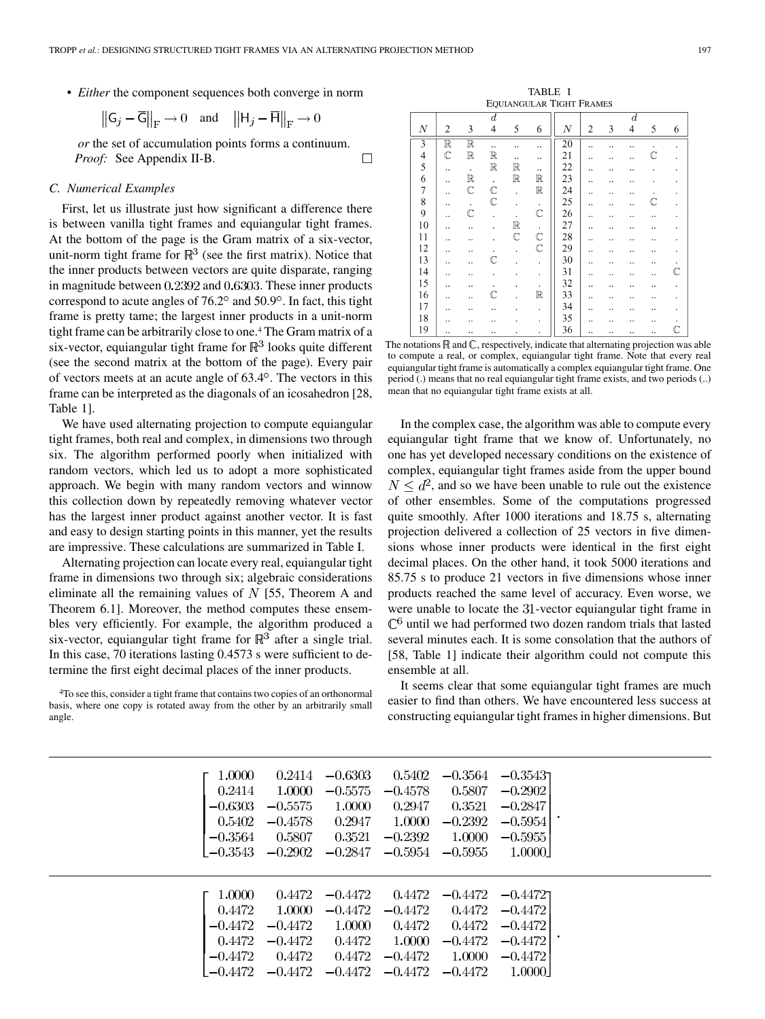$\Box$ 

• *Either* the component sequences both converge in norm

$$
||G_j - \overline{G}||_F \to 0
$$
 and  $||H_j - \overline{H}||_F \to 0$ 

*or* the set of accumulation points forms a continuum. *Proof:* See Appendix II-B.

#### *C. Numerical Examples*

First, let us illustrate just how significant a difference there is between vanilla tight frames and equiangular tight frames. At the bottom of the page is the Gram matrix of a six-vector, unit-norm tight frame for  $\mathbb{R}^3$  (see the first matrix). Notice that the inner products between vectors are quite disparate, ranging in magnitude between  $0.2392$  and  $0.6303$ . These inner products correspond to acute angles of  $76.2^\circ$  and  $50.9^\circ$ . In fact, this tight frame is pretty tame; the largest inner products in a unit-norm tight frame can be arbitrarily close to one.4 The Gram matrix of a six-vector, equiangular tight frame for  $\mathbb{R}^3$  looks quite different (see the second matrix at the bottom of the page). Every pair of vectors meets at an acute angle of 63.4°. The vectors in this frame can be interpreted as the diagonals of an icosahedron [[28,](#page-19-0) Table 1].

We have used alternating projection to compute equiangular tight frames, both real and complex, in dimensions two through six. The algorithm performed poorly when initialized with random vectors, which led us to adopt a more sophisticated approach. We begin with many random vectors and winnow this collection down by repeatedly removing whatever vector has the largest inner product against another vector. It is fast and easy to design starting points in this manner, yet the results are impressive. These calculations are summarized in Table I.

Alternating projection can locate every real, equiangular tight frame in dimensions two through six; algebraic considerations eliminate all the remaining values of  $N$  [[55,](#page-20-0) Theorem A and Theorem 6.1]. Moreover, the method computes these ensembles very efficiently. For example, the algorithm produced a six-vector, equiangular tight frame for  $\mathbb{R}^3$  after a single trial. In this case, 70 iterations lasting 0.4573 s were sufficient to determine the first eight decimal places of the inner products.

4To see this, consider a tight frame that contains two copies of an orthonormal basis, where one copy is rotated away from the other by an arbitrarily small angle.

TABLE I EQUIANGULAR TIGHT FRAMES

|                          |                      |                      | $\boldsymbol{d}$     |                      |                      |                  |                |    | $\boldsymbol{d}$     |             |                |
|--------------------------|----------------------|----------------------|----------------------|----------------------|----------------------|------------------|----------------|----|----------------------|-------------|----------------|
| $\overline{N}$           | $\overline{2}$       | 3                    | 4                    | 5                    | 6                    | $\boldsymbol{N}$ | $\overline{2}$ | 3  | 4                    | 5           | 6              |
| 3                        | $\mathbb R$          | R                    | $\ddot{\phantom{0}}$ |                      | $\ddot{\phantom{0}}$ | 20               |                | ٠. |                      | ٠           |                |
| $\overline{\mathcal{L}}$ | $\mathbb{C}$         | $\mathbb R$          | $\mathbb R$          |                      | $\ddot{\phantom{0}}$ | 21               |                |    | $\ddot{\phantom{0}}$ | $\mathbb C$ |                |
| 5                        | $\ddot{\phantom{0}}$ |                      | $\mathbb R$          | $\mathbb R$          | $\ddot{\phantom{a}}$ | 22               |                |    |                      | ٠           | ٠              |
| 6                        | $\ddot{\phantom{0}}$ | $\mathbb R$          | ٠                    | $\mathbb R$          | $\mathbb R$          | 23               |                |    |                      |             | ٠              |
| $\overline{7}$           |                      | $\mathbb{C}$         | $\mathbb C$          | $\ddot{\phantom{0}}$ | $\mathbb R$          | 24               |                |    |                      | ٠           | ٠              |
| 8                        |                      | $\blacksquare$       | $\mathbb C$          | ٠                    | ٠                    | 25               |                | ٠. |                      | $\mathbb C$ | ٠              |
| 9                        | $\ddot{\phantom{0}}$ | C                    | ٠                    | ٠                    | $\mathbb C$          | 26               |                | ٠. |                      |             | ٠              |
| 10                       |                      |                      | ÷                    | $\mathbb R$          | ٠                    | 27               |                |    |                      |             |                |
| 11                       |                      |                      |                      | $\mathbb{C}$         | C                    | 28               |                |    |                      |             | $\blacksquare$ |
| 12                       |                      |                      | ٠                    | ٠                    | $\mathbb C$          | 29               |                |    |                      |             | ۰              |
| 13                       |                      | $\ddot{\phantom{0}}$ | $\mathbb C$          |                      | ٠                    | 30               |                |    |                      |             | $\cdot$        |
| 14                       |                      |                      |                      |                      | ٠                    | 31               | .,             |    |                      | ٠.          | $\mathbb C$    |
| 15                       |                      |                      |                      | ٠                    | ٠                    | 32               |                |    |                      | ٠.          | $\blacksquare$ |
| 16                       |                      |                      |                      |                      | $\mathbb R$          | 33               | .,             |    |                      |             | ٠              |
| 17                       |                      |                      |                      |                      | ٠                    | 34               |                |    | . .                  | .,          | ٠              |
| 18                       | . .                  |                      |                      |                      | ٠                    | 35               |                |    | .,                   | .,          |                |
| 19                       |                      |                      |                      |                      |                      | 36               |                |    |                      |             | $\mathbb C$    |

The notations  $\mathbb R$  and  $\mathbb C$ , respectively, indicate that alternating projection was able to compute a real, or complex, equiangular tight frame. Note that every real equiangular tight frame is automatically a complex equiangular tight frame. One period (.) means that no real equiangular tight frame exists, and two periods (..) mean that no equiangular tight frame exists at all.

In the complex case, the algorithm was able to compute every equiangular tight frame that we know of. Unfortunately, no one has yet developed necessary conditions on the existence of complex, equiangular tight frames aside from the upper bound  $N \leq d^2$ , and so we have been unable to rule out the existence of other ensembles. Some of the computations progressed quite smoothly. After 1000 iterations and 18.75 s, alternating projection delivered a collection of 25 vectors in five dimensions whose inner products were identical in the first eight decimal places. On the other hand, it took 5000 iterations and 85.75 s to produce 21 vectors in five dimensions whose inner products reached the same level of accuracy. Even worse, we were unable to locate the 31-vector equiangular tight frame in  $\mathbb{C}^6$  until we had performed two dozen random trials that lasted several minutes each. It is some consolation that the authors of [\[58](#page-20-0), Table 1] indicate their algorithm could not compute this ensemble at all.

It seems clear that some equiangular tight frames are much easier to find than others. We have encountered less success at constructing equiangular tight frames in higher dimensions. But

| 1.0000    | 0.2414    | $-0.6303$ | 0.5402    | $-0.3564$ | $-0.3543$   |
|-----------|-----------|-----------|-----------|-----------|-------------|
| 0.2414    | 1.0000    | $-0.5575$ | $-0.4578$ | 0.5807    | $-0.2902$   |
| $-0.6303$ | $-0.5575$ | 1.0000    | 0.2947    | 0.3521    | $-0.2847$   |
| 0.5402    | $-0.4578$ | 0.2947    | 1.0000    | $-0.2392$ | $-0.59541$  |
| $-0.3564$ | 0.5807    | 0.3521    | $-0.2392$ | 1.0000    | $-0.5955$   |
| $-0.3543$ | $-0.2902$ | $-0.2847$ | $-0.5954$ | $-0.5955$ | 1.0000      |
|           |           |           |           |           |             |
| 1.0000    | 0.4472    | $-0.4472$ | 0.4472    | $-0.4472$ | $-0.4472$ ר |
|           |           |           |           |           |             |
| 0.4472    | 1.0000    | $-0.4472$ | $-0.4472$ | 0.4472    | $-0.4472$   |
| $-0.4472$ | $-0.4472$ | 1.0000    | 0.4472    | 0.4472    | $-0.4472$   |
| 0.4472    | $-0.4472$ | 0.4472    | 1.0000    | $-0.4472$ | $-0.44721$  |
| $-0.4472$ | 0.4472    | 0.4472    | $-0.4472$ | 1.0000    | $-0.4472$   |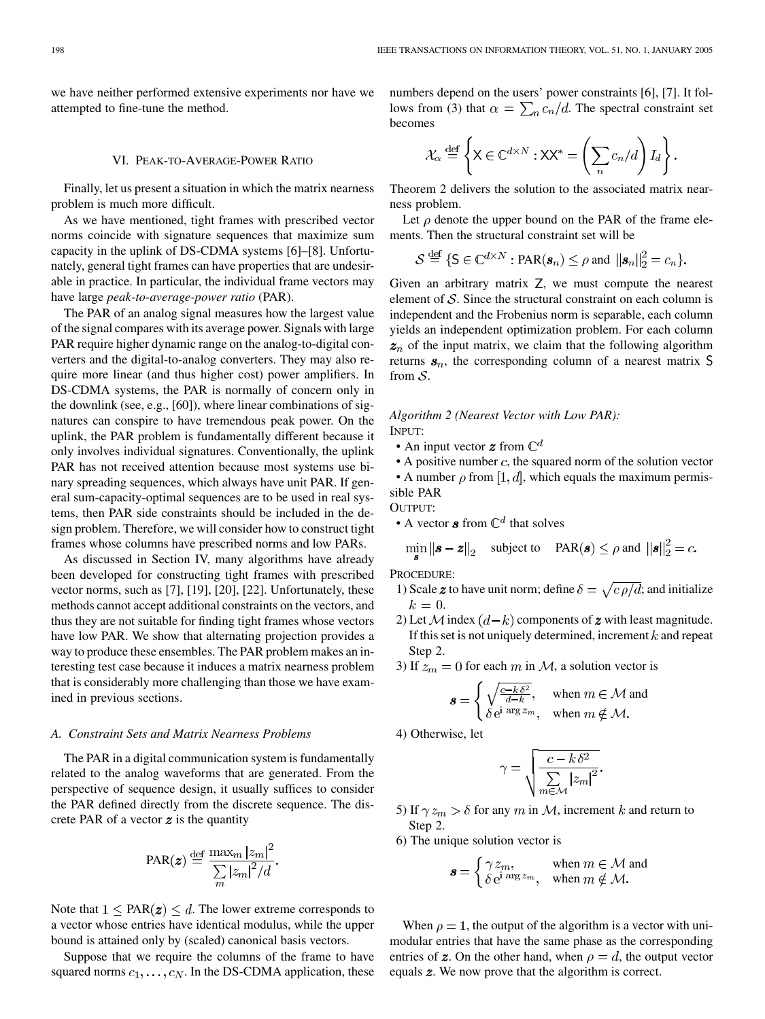we have neither performed extensive experiments nor have we attempted to fine-tune the method.

### VI. PEAK-TO-AVERAGE-POWER RATIO

Finally, let us present a situation in which the matrix nearness problem is much more difficult.

As we have mentioned, tight frames with prescribed vector norms coincide with signature sequences that maximize sum capacity in the uplink of DS-CDMA systems [[6\]](#page-19-0)–[\[8](#page-19-0)]. Unfortunately, general tight frames can have properties that are undesirable in practice. In particular, the individual frame vectors may have large *peak-to-average-power ratio* (PAR).

The PAR of an analog signal measures how the largest value of the signal compares with its average power. Signals with large PAR require higher dynamic range on the analog-to-digital converters and the digital-to-analog converters. They may also require more linear (and thus higher cost) power amplifiers. In DS-CDMA systems, the PAR is normally of concern only in the downlink (see, e.g., [[60\]](#page-20-0)), where linear combinations of signatures can conspire to have tremendous peak power. On the uplink, the PAR problem is fundamentally different because it only involves individual signatures. Conventionally, the uplink PAR has not received attention because most systems use binary spreading sequences, which always have unit PAR. If general sum-capacity-optimal sequences are to be used in real systems, then PAR side constraints should be included in the design problem. Therefore, we will consider how to construct tight frames whose columns have prescribed norms and low PARs.

As discussed in Section IV, many algorithms have already been developed for constructing tight frames with prescribed vector norms, such as [[7\]](#page-19-0), [\[19](#page-19-0)], [[20\]](#page-19-0), [[22\]](#page-19-0). Unfortunately, these methods cannot accept additional constraints on the vectors, and thus they are not suitable for finding tight frames whose vectors have low PAR. We show that alternating projection provides a way to produce these ensembles. The PAR problem makes an interesting test case because it induces a matrix nearness problem that is considerably more challenging than those we have examined in previous sections.

#### *A. Constraint Sets and Matrix Nearness Problems*

The PAR in a digital communication system is fundamentally related to the analog waveforms that are generated. From the perspective of sequence design, it usually suffices to consider the PAR defined directly from the discrete sequence. The discrete PAR of a vector  $z$  is the quantity

$$
PAR(z) \stackrel{\text{def}}{=} \frac{\max_{m} |z_m|^2}{\sum_{m} |z_m|^2 / d}
$$

Note that  $1 \leq PAR(z) \leq d$ . The lower extreme corresponds to a vector whose entries have identical modulus, while the upper bound is attained only by (scaled) canonical basis vectors.

Suppose that we require the columns of the frame to have squared norms  $c_1, \ldots, c_N$ . In the DS-CDMA application, these numbers depend on the users' power constraints [[6\]](#page-19-0), [\[7](#page-19-0)]. It follows from (3) that  $\alpha = \sum_n c_n/d$ . The spectral constraint set becomes

$$
\mathcal{X}_{\alpha} \stackrel{\text{def}}{=} \left\{ \mathsf{X} \in \mathbb{C}^{d \times N} : \mathsf{XX}^* = \left( \sum_n c_n / d \right) I_d \right\}.
$$

Theorem 2 delivers the solution to the associated matrix nearness problem.

Let  $\rho$  denote the upper bound on the PAR of the frame elements. Then the structural constraint set will be

$$
S \stackrel{\text{def}}{=} \{ S \in \mathbb{C}^{d \times N} : \text{PAR}(\boldsymbol{s}_n) \le \rho \text{ and } ||\boldsymbol{s}_n||_2^2 = c_n \}
$$

Given an arbitrary matrix  $Z$ , we must compute the nearest element of  $S$ . Since the structural constraint on each column is independent and the Frobenius norm is separable, each column yields an independent optimization problem. For each column  $z_n$  of the input matrix, we claim that the following algorithm returns  $s_n$ , the corresponding column of a nearest matrix S from  $S$ .

# *Algorithm 2 (Nearest Vector with Low PAR):* INPUT:

- An input vector  $\boldsymbol{z}$  from  $\mathbb{C}^d$
- A positive number  $c$ , the squared norm of the solution vector

• A number  $\rho$  from [1, d], which equals the maximum permissible PAR

OUTPUT:

• A vector **s** from  $\mathbb{C}^d$  that solves

$$
\min_{\mathbf{s}} \|\mathbf{s} - \mathbf{z}\|_2 \quad \text{subject to} \quad \text{PAR}(\mathbf{s}) \le \rho \text{ and } \|\mathbf{s}\|_2^2 = c.
$$

PROCEDURE:

- 1) Scale z to have unit norm; define  $\delta = \sqrt{c \rho/d}$ ; and initialize  $k=0.$
- 2) Let M index  $(d-k)$  components of z with least magnitude. If this set is not uniquely determined, increment  $k$  and repeat Step 2.
- 3) If  $z_m = 0$  for each m in M, a solution vector is

$$
\mathbf{s} = \begin{cases} \sqrt{\frac{c - k \delta^2}{d - k}}, & \text{when } m \in \mathcal{M} \text{ and} \\ \delta e^{\mathrm{i} \arg z_m}, & \text{when } m \notin \mathcal{M}. \end{cases}
$$

4) Otherwise, let

$$
\gamma = \sqrt{\frac{c - k \,\delta^2}{\sum_{m \in \mathcal{M}} |z_m|^2}}
$$

- 5) If  $\gamma z_m > \delta$  for any m in M, increment k and return to Step 2.
- 6) The unique solution vector is

$$
\boldsymbol{s} = \begin{cases} \gamma z_m, & \text{when } m \in \mathcal{M} \text{ and} \\ \delta e^{i \arg z_m}, & \text{when } m \notin \mathcal{M}. \end{cases}
$$

When  $\rho = 1$ , the output of the algorithm is a vector with unimodular entries that have the same phase as the corresponding entries of z. On the other hand, when  $\rho = d$ , the output vector equals  $z$ . We now prove that the algorithm is correct.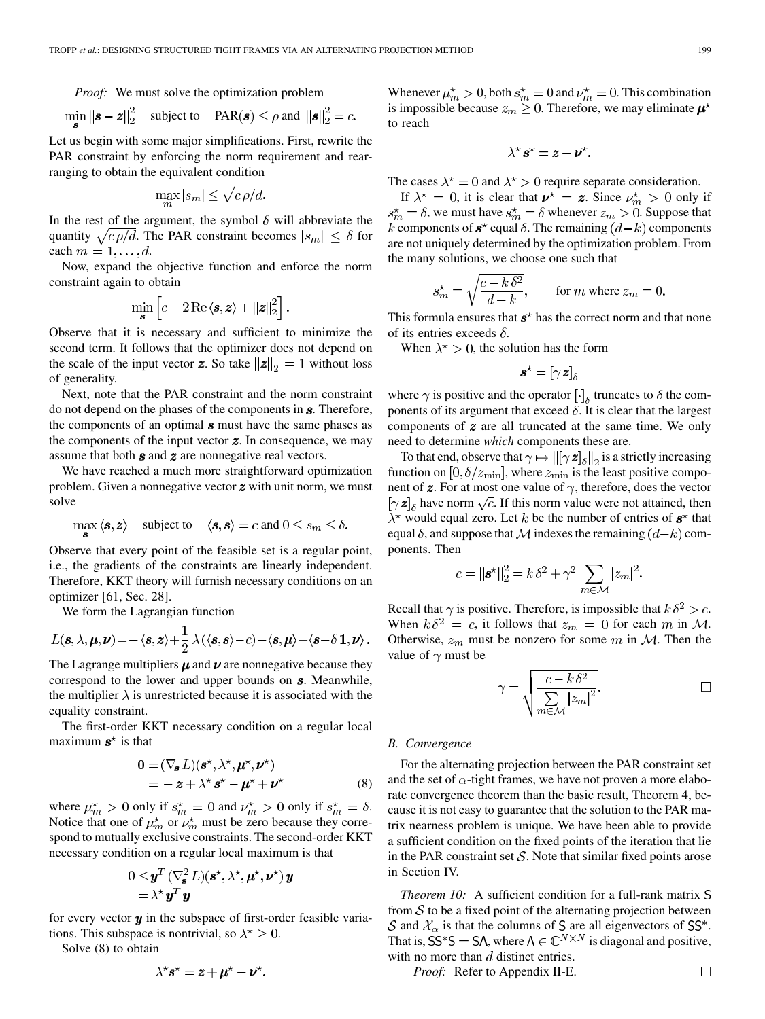*Proof:* We must solve the optimization problem

$$
\min_{\mathbf{s}} \|\mathbf{s} - \mathbf{z}\|_2^2 \quad \text{subject to} \quad \text{PAR}(\mathbf{s}) \le \rho \text{ and } \|\mathbf{s}\|_2^2 = c.
$$

Let us begin with some major simplifications. First, rewrite the PAR constraint by enforcing the norm requirement and rearranging to obtain the equivalent condition

$$
\max_{m} |s_m| \le \sqrt{c\rho/d}.
$$

In the rest of the argument, the symbol  $\delta$  will abbreviate the quantity  $\sqrt{c\rho/d}$ . The PAR constraint becomes  $|s_m| \leq \delta$  for each  $m = 1, \ldots, d$ .

Now, expand the objective function and enforce the norm constraint again to obtain

$$
\min_{\mathbf{s}} \left[ c - 2 \operatorname{Re} \left\langle \mathbf{s}, \mathbf{z} \right\rangle + ||\mathbf{z}||_2^2 \right].
$$

Observe that it is necessary and sufficient to minimize the second term. It follows that the optimizer does not depend on the scale of the input vector **z**. So take  $||\mathbf{z}||_2 = 1$  without loss of generality.

Next, note that the PAR constraint and the norm constraint do not depend on the phases of the components in  $s$ . Therefore, the components of an optimal  $\boldsymbol{s}$  must have the same phases as the components of the input vector  $z$ . In consequence, we may assume that both  $s$  and  $z$  are nonnegative real vectors.

We have reached a much more straightforward optimization problem. Given a nonnegative vector  $z$  with unit norm, we must solve

$$
\max_{\mathbf{s}} \langle \mathbf{s}, \mathbf{z} \rangle \quad \text{subject to} \quad \langle \mathbf{s}, \mathbf{s} \rangle = c \text{ and } 0 \le s_m \le \delta.
$$

Observe that every point of the feasible set is a regular point, i.e., the gradients of the constraints are linearly independent. Therefore, KKT theory will furnish necessary conditions on an optimizer [[61](#page-20-0), Sec. 28].

We form the Lagrangian function

$$
L(\mathbf{s}, \lambda, \boldsymbol{\mu}, \boldsymbol{\nu}) = -\langle \mathbf{s}, \mathbf{z} \rangle + \frac{1}{2} \lambda \left( \langle \mathbf{s}, \mathbf{s} \rangle - c \right) - \langle \mathbf{s}, \boldsymbol{\mu} \rangle + \langle \mathbf{s} - \delta \mathbf{1}, \boldsymbol{\nu} \rangle.
$$

The Lagrange multipliers  $\mu$  and  $\nu$  are nonnegative because they correspond to the lower and upper bounds on  $s$ . Meanwhile, the multiplier  $\lambda$  is unrestricted because it is associated with the equality constraint.

The first-order KKT necessary condition on a regular local maximum  $s^*$  is that

$$
0 = (\nabla_{\mathbf{s}} L)(\mathbf{s}^{\star}, \lambda^{\star}, \boldsymbol{\mu}^{\star}, \boldsymbol{\nu}^{\star})
$$
  
=  $-\mathbf{z} + \lambda^{\star} \mathbf{s}^{\star} - \boldsymbol{\mu}^{\star} + \boldsymbol{\nu}^{\star}$  (8)

where  $\mu_m^* > 0$  only if  $s_m^* = 0$  and  $\nu_m^* > 0$  only if  $s_m^* = \delta$ . Notice that one of  $\mu_m^*$  or  $\nu_m^*$  must be zero because they correspond to mutually exclusive constraints. The second-order KKT necessary condition on a regular local maximum is that

$$
0 \leq \mathbf{y}^T \left( \nabla_{\mathbf{s}}^2 L \right) (\mathbf{s}^\star, \lambda^\star, \mu^\star, \nu^\star) \mathbf{y} = \lambda^\star \mathbf{y}^T \mathbf{y}
$$

for every vector  $y$  in the subspace of first-order feasible variations. This subspace is nontrivial, so  $\lambda^* \geq 0$ .

Solve (8) to obtain

$$
\lambda^{\star}\boldsymbol{s}^{\star}=\boldsymbol{z}+\boldsymbol{\mu}^{\star}-\boldsymbol{\nu}^{\star}
$$

Whenever  $\mu_m^* > 0$ , both  $s_m^* = 0$  and  $\nu_m^* = 0$ . This combination is impossible because  $z_m \geq 0$ . Therefore, we may eliminate  $\mu^*$ to reach

$$
\lambda^\star \, \boldsymbol{s}^\star = \boldsymbol{z} - \boldsymbol{\nu}^\star.
$$

The cases  $\lambda^* = 0$  and  $\lambda^* > 0$  require separate consideration.

If  $\lambda^* = 0$ , it is clear that  $\nu^* = z$ . Since  $\nu_m^* > 0$  only if  $s_m^* = \delta$ , we must have  $s_m^* = \delta$  whenever  $z_m > 0$ . Suppose that k components of  $s^*$  equal  $\delta$ . The remaining  $(d-k)$  components are not uniquely determined by the optimization problem. From the many solutions, we choose one such that

$$
s_m^* = \sqrt{\frac{c - k \,\delta^2}{d - k}}, \qquad \text{for } m \text{ where } z_m = 0.
$$

This formula ensures that  $s^*$  has the correct norm and that none of its entries exceeds  $\delta$ .

When  $\lambda^* > 0$ , the solution has the form

$$
\boldsymbol{s}^\star = [\gamma \, \boldsymbol{z}]_\delta
$$

where  $\gamma$  is positive and the operator  $[\cdot]_{\delta}$  truncates to  $\delta$  the components of its argument that exceed  $\delta$ . It is clear that the largest components of  $z$  are all truncated at the same time. We only need to determine *which* components these are.

To that end, observe that  $\gamma \mapsto ||[\gamma z]_{\delta}||_2$  is a strictly increasing function on  $[0, \delta/z_{\text{min}}]$ , where  $z_{\text{min}}$  is the least positive component of  $\boldsymbol{z}$ . For at most one value of  $\gamma$ , therefore, does the vector  $[\gamma z]_{\delta}$  have norm  $\sqrt{c}$ . If this norm value were not attained, then  $\lambda^*$  would equal zero. Let k be the number of entries of  $s^*$  that equal  $\delta$ , and suppose that M indexes the remaining  $(d-k)$  components. Then

$$
c = ||\mathbf{s}^{\star}||_2^2 = k \,\delta^2 + \gamma^2 \sum_{m \in \mathcal{M}} |z_m|^2.
$$

Recall that  $\gamma$  is positive. Therefore, is impossible that  $k \delta^2 > c$ . When  $k\delta^2 = c$ , it follows that  $z_m = 0$  for each m in M. Otherwise,  $z_m$  must be nonzero for some m in M. Then the value of  $\gamma$  must be

$$
\gamma = \sqrt{\frac{c - k \delta^2}{\sum_{m \in \mathcal{M}} |z_m|^2}}.
$$

## *B. Convergence*

For the alternating projection between the PAR constraint set and the set of  $\alpha$ -tight frames, we have not proven a more elaborate convergence theorem than the basic result, Theorem 4, because it is not easy to guarantee that the solution to the PAR matrix nearness problem is unique. We have been able to provide a sufficient condition on the fixed points of the iteration that lie in the PAR constraint set  $S$ . Note that similar fixed points arose in Section IV.

*Theorem 10:* A sufficient condition for a full-rank matrix S from  $S$  to be a fixed point of the alternating projection between S and  $\mathcal{X}_{\alpha}$  is that the columns of S are all eigenvectors of SS<sup>\*</sup>. That is,  $SS^*S = SA$ , where  $\Lambda \in \mathbb{C}^{N \times N}$  is diagonal and positive, with no more than  $d$  distinct entries.  $\Box$ 

*Proof:* Refer to Appendix II-E.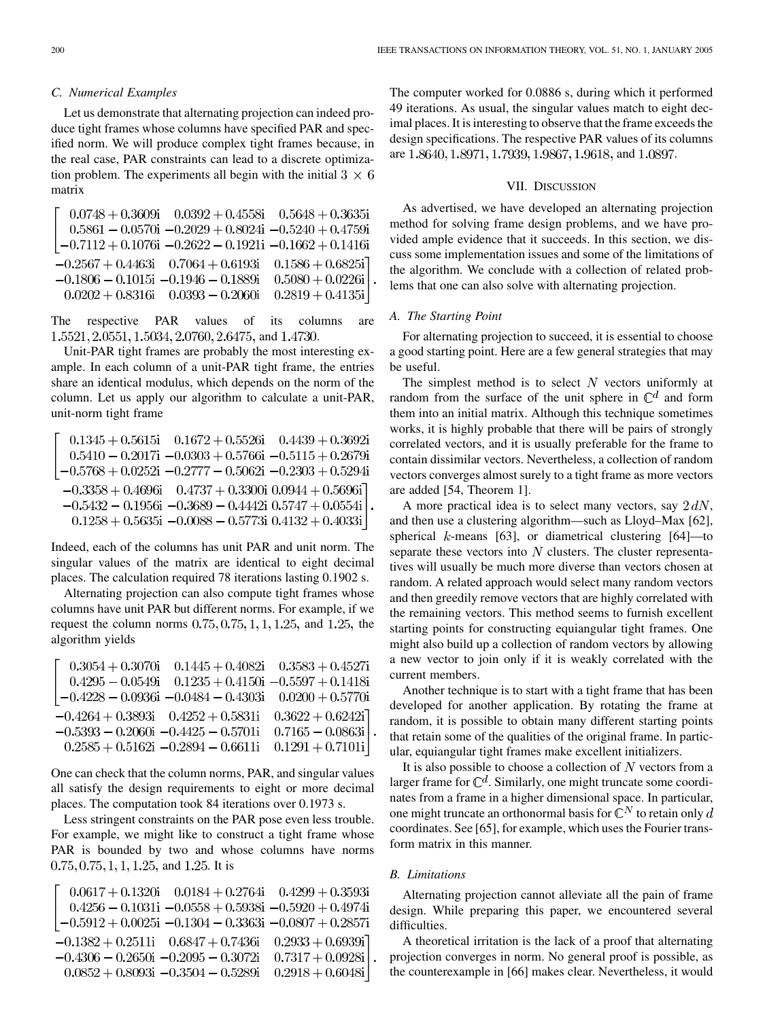# *C. Numerical Examples*

Let us demonstrate that alternating projection can indeed produce tight frames whose columns have specified PAR and specified norm. We will produce complex tight frames because, in the real case, PAR constraints can lead to a discrete optimization problem. The experiments all begin with the initial  $3 \times 6$ matrix

 $0.0748 + 0.3609$ i  $0.0392 + 0.4558$ i  $0.5648 + 0.3635$ i  $0.5861 - 0.0570i -0.2029 + 0.8024i -0.5240 + 0.4759i$  $-0.7112 + 0.1076i -0.2622 - 0.1921i -0.1662 + 0.1416i$  $-0.2567 + 0.4463i$   $0.7064 + 0.6193i$  $0.1586 + 0.6825i$  $-0.1806 - 0.1015i -0.1946 - 0.1889i$  $0.5080 + 0.0226i$  $0.0202 + 0.8316$ i  $0.0393 - 0.2060$ i  $0.2819 + 0.4135i$ 

The respective PAR values of its columns are 1.5521, 2.0551, 1.5034, 2.0760, 2.6475, and 1.4730.

Unit-PAR tight frames are probably the most interesting example. In each column of a unit-PAR tight frame, the entries share an identical modulus, which depends on the norm of the column. Let us apply our algorithm to calculate a unit-PAR, unit-norm tight frame

 $0.1345 + 0.5615i$   $0.1672 + 0.5526i$   $0.4439 + 0.3692i$  $0.5410-0.2017\mathrm{i}$   $-0.0303+0.5766\mathrm{i}$   $-0.5115+0.2679\mathrm{i}$  $-0.5768 + 0.0252 \mathrm{i}\ - 0.2777 - 0.5062 \mathrm{i}\ - 0.2303 + 0.5294 \mathrm{i}$  $-0.3358 + 0.4696i$   $0.4737 + 0.3300i$   $0.0944 + 0.5696i$  $-0.5432 - 0.1956i - 0.3689 - 0.4442i \cdot 0.5747 + 0.0554i$ .  $0.1258 + 0.5635i - 0.0088 - 0.5773i$   $0.4132 + 0.4033i$ 

Indeed, each of the columns has unit PAR and unit norm. The singular values of the matrix are identical to eight decimal places. The calculation required 78 iterations lasting 0.1902 s.

Alternating projection can also compute tight frames whose columns have unit PAR but different norms. For example, if we request the column norms  $0.75, 0.75, 1, 1, 1.25$ , and  $1.25$ , the algorithm yields

|                                                                      | $0.3054 + 0.3070$ i $0.1445 + 0.4082$ i $0.3583 + 0.4527$ i  |  |
|----------------------------------------------------------------------|--------------------------------------------------------------|--|
|                                                                      | $0.4295 - 0.0549$ i $0.1235 + 0.4150$ i $-0.5597 + 0.1418$ i |  |
| $\vert -0.4228 - 0.0936i -0.0484 - 0.4303i - 0.0200 + 0.5770i \vert$ |                                                              |  |
| $-0.4264 + 0.3893i$ $0.4252 + 0.5831i$ $0.3622 + 0.6242i$            |                                                              |  |
| $-0.5393 - 0.2060$ i $-0.4425 - 0.5701$ i $0.7165 - 0.0863$ i        |                                                              |  |
|                                                                      | $0.2585 + 0.5162i -0.2894 - 0.6611i$ $0.1291 + 0.7101i$      |  |

One can check that the column norms, PAR, and singular values all satisfy the design requirements to eight or more decimal places. The computation took 84 iterations over 0.1973 s.

Less stringent constraints on the PAR pose even less trouble. For example, we might like to construct a tight frame whose PAR is bounded by two and whose columns have norms  $0.75, 0.75, 1, 1, 1.25,$  and 1.25. It is

```
0.0617 + 0.1320i 0.0184 + 0.2764i 0.4299 + 0.3593i
0.4256 - 0.1031i - 0.0558 + 0.5938i - 0.5920 + 0.4974i-0.5912 + 0.0025i -0.1304 - 0.3363i -0.0807 + 0.2857i-0.1382 + 0.2511i 0.6847 + 0.7436i0.2933 + 0.6939i-0.4306 - 0.2650i -0.2095 - 0.3072i
                                   0.7317 + 0.0928i0.2918 + 0.6048i0.0852 + 0.8093i -0.3504 - 0.5289i
```
The computer worked for 0.0886 s, during which it performed 49 iterations. As usual, the singular values match to eight decimal places. It is interesting to observe that the frame exceeds the design specifications. The respective PAR values of its columns are 1.8640, 1.8971, 1.7939, 1.9867, 1.9618, and 1.0897.

## VII. DISCUSSION

As advertised, we have developed an alternating projection method for solving frame design problems, and we have provided ample evidence that it succeeds. In this section, we discuss some implementation issues and some of the limitations of the algorithm. We conclude with a collection of related problems that one can also solve with alternating projection.

# *A. The Starting Point*

For alternating projection to succeed, it is essential to choose a good starting point. Here are a few general strategies that may be useful.

The simplest method is to select  $N$  vectors uniformly at random from the surface of the unit sphere in  $\mathbb{C}^d$  and form them into an initial matrix. Although this technique sometimes works, it is highly probable that there will be pairs of strongly correlated vectors, and it is usually preferable for the frame to contain dissimilar vectors. Nevertheless, a collection of random vectors converges almost surely to a tight frame as more vectors are added [[54,](#page-20-0) Theorem 1].

A more practical idea is to select many vectors, say  $2 dN$ , and then use a clustering algorithm—such as Lloyd–Max [[62\]](#page-20-0), spherical  $k$ -means [[63\]](#page-20-0), or diametrical clustering [[64\]](#page-20-0)—to separate these vectors into  $N$  clusters. The cluster representatives will usually be much more diverse than vectors chosen at random. A related approach would select many random vectors and then greedily remove vectors that are highly correlated with the remaining vectors. This method seems to furnish excellent starting points for constructing equiangular tight frames. One might also build up a collection of random vectors by allowing a new vector to join only if it is weakly correlated with the current members.

Another technique is to start with a tight frame that has been developed for another application. By rotating the frame at random, it is possible to obtain many different starting points that retain some of the qualities of the original frame. In particular, equiangular tight frames make excellent initializers.

It is also possible to choose a collection of  $N$  vectors from a larger frame for  $\mathbb{C}^d$ . Similarly, one might truncate some coordinates from a frame in a higher dimensional space. In particular, one might truncate an orthonormal basis for  $\mathbb{C}^N$  to retain only d coordinates. See [\[65](#page-20-0)], for example, which uses the Fourier transform matrix in this manner.

## *B. Limitations*

Alternating projection cannot alleviate all the pain of frame design. While preparing this paper, we encountered several difficulties.

A theoretical irritation is the lack of a proof that alternating projection converges in norm. No general proof is possible, as the counterexample in [\[66\]](#page-20-0) makes clear. Nevertheless, it would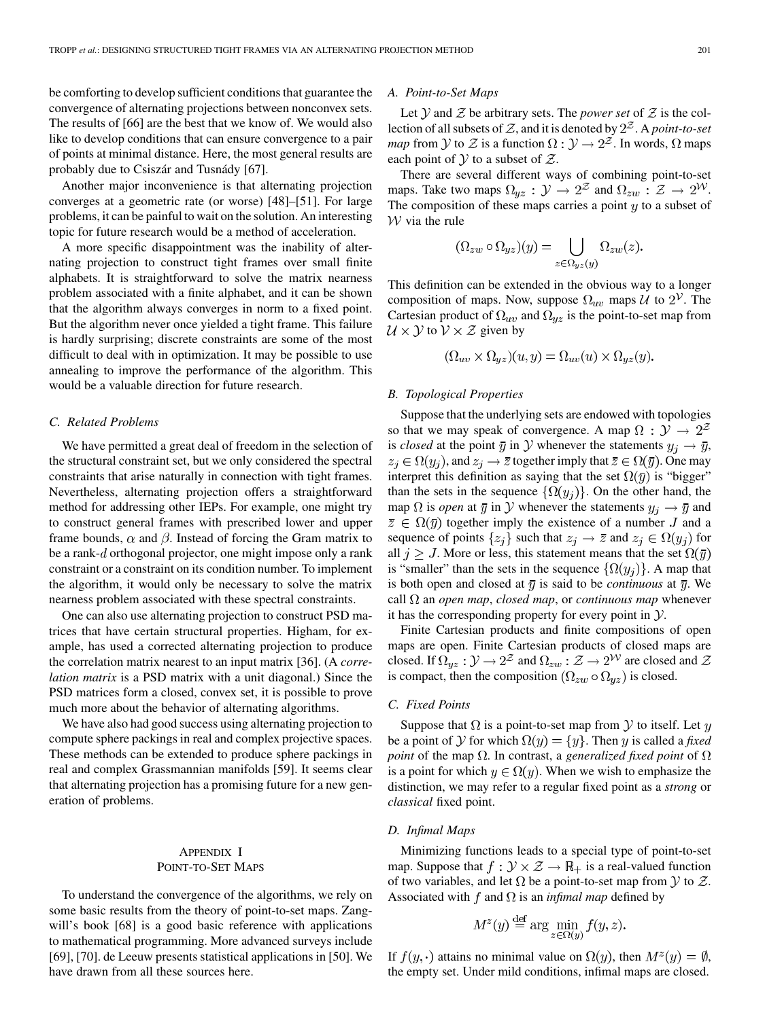be comforting to develop sufficient conditions that guarantee the convergence of alternating projections between nonconvex sets. The results of [\[66](#page-20-0)] are the best that we know of. We would also like to develop conditions that can ensure convergence to a pair of points at minimal distance. Here, the most general results are probably due to Csiszár and Tusnády [[67\]](#page-20-0).

Another major inconvenience is that alternating projection converges at a geometric rate (or worse) [\[48](#page-20-0)]–[[51\]](#page-20-0). For large problems, it can be painful to wait on the solution. An interesting topic for future research would be a method of acceleration.

A more specific disappointment was the inability of alternating projection to construct tight frames over small finite alphabets. It is straightforward to solve the matrix nearness problem associated with a finite alphabet, and it can be shown that the algorithm always converges in norm to a fixed point. But the algorithm never once yielded a tight frame. This failure is hardly surprising; discrete constraints are some of the most difficult to deal with in optimization. It may be possible to use annealing to improve the performance of the algorithm. This would be a valuable direction for future research.

#### *C. Related Problems*

We have permitted a great deal of freedom in the selection of the structural constraint set, but we only considered the spectral constraints that arise naturally in connection with tight frames. Nevertheless, alternating projection offers a straightforward method for addressing other IEPs. For example, one might try to construct general frames with prescribed lower and upper frame bounds,  $\alpha$  and  $\beta$ . Instead of forcing the Gram matrix to be a rank- $d$  orthogonal projector, one might impose only a rank constraint or a constraint on its condition number. To implement the algorithm, it would only be necessary to solve the matrix nearness problem associated with these spectral constraints.

One can also use alternating projection to construct PSD matrices that have certain structural properties. Higham, for example, has used a corrected alternating projection to produce the correlation matrix nearest to an input matrix [[36\]](#page-20-0). (A *correlation matrix* is a PSD matrix with a unit diagonal.) Since the PSD matrices form a closed, convex set, it is possible to prove much more about the behavior of alternating algorithms.

We have also had good success using alternating projection to compute sphere packings in real and complex projective spaces. These methods can be extended to produce sphere packings in real and complex Grassmannian manifolds [\[59](#page-20-0)]. It seems clear that alternating projection has a promising future for a new generation of problems.

# APPENDIX I POINT-TO-SET MAPS

To understand the convergence of the algorithms, we rely on some basic results from the theory of point-to-set maps. Zang-will's book [\[68](#page-20-0)] is a good basic reference with applications to mathematical programming. More advanced surveys include [\[69](#page-20-0)], [[70\]](#page-20-0). de Leeuw presents statistical applications in [\[50](#page-20-0)]. We have drawn from all these sources here.

#### *A. Point-to-Set Maps*

Let  $\mathcal Y$  and  $\mathcal Z$  be arbitrary sets. The *power set* of  $\mathcal Z$  is the collection of all subsets of  $\mathcal{Z}$ , and it is denoted by  $2^{\mathcal{Z}}$ . A *point-to-set map* from  $\mathcal Y$  to  $\mathcal Z$  is a function  $\Omega : \mathcal Y \to 2^{\mathcal Z}$ . In words,  $\Omega$  maps each point of  $\mathcal Y$  to a subset of  $\mathcal Z$ .

There are several different ways of combining point-to-set maps. Take two maps  $\Omega_{yz} : \mathcal{Y} \to 2^{\mathcal{Z}}$  and  $\Omega_{zw} : \mathcal{Z} \to 2^{\mathcal{W}}$ . The composition of these maps carries a point  $y$  to a subset of  $W$  via the rule

$$
(\Omega_{zw} \circ \Omega_{yz})(y) = \bigcup_{z \in \Omega_{yz}(y)} \Omega_{zw}(z).
$$

This definition can be extended in the obvious way to a longer composition of maps. Now, suppose  $\Omega_{uv}$  maps  $\mathcal U$  to  $2^{\mathcal V}$ . The Cartesian product of  $\Omega_{uv}$  and  $\Omega_{yz}$  is the point-to-set map from  $U \times Y$  to  $V \times Z$  given by

$$
(\Omega_{uv} \times \Omega_{yz})(u, y) = \Omega_{uv}(u) \times \Omega_{yz}(y).
$$

## *B. Topological Properties*

Suppose that the underlying sets are endowed with topologies so that we may speak of convergence. A map  $\Omega : \mathcal{Y} \to 2^{\mathcal{Z}}$ is *closed* at the point  $\bar{y}$  in  $\mathcal{Y}$  whenever the statements  $y_i \rightarrow \bar{y}$ ,  $z_j \in \Omega(y_j)$ , and  $z_j \to \overline{z}$  together imply that  $\overline{z} \in \Omega(\overline{y})$ . One may interpret this definition as saying that the set  $\Omega(\bar{y})$  is "bigger" than the sets in the sequence  $\{\Omega(y_i)\}\$ . On the other hand, the map  $\Omega$  is *open* at  $\bar{y}$  in  $\mathcal Y$  whenever the statements  $y_j \to \bar{y}$  and  $\overline{z} \in \Omega(\overline{y})$  together imply the existence of a number J and a sequence of points  $\{z_i\}$  such that  $z_i \to \overline{z}$  and  $z_i \in \Omega(y_i)$  for all  $j > J$ . More or less, this statement means that the set  $\Omega(\bar{y})$ is "smaller" than the sets in the sequence  $\{\Omega(y_i)\}\$ . A map that is both open and closed at  $\bar{y}$  is said to be *continuous* at  $\bar{y}$ . We call  $\Omega$  an *open map*, *closed map*, or *continuous map* whenever it has the corresponding property for every point in  $\mathcal{Y}$ .

Finite Cartesian products and finite compositions of open maps are open. Finite Cartesian products of closed maps are closed. If  $\Omega_{yz} : \mathcal{Y} \to 2^{\mathcal{Z}}$  and  $\Omega_{zw} : \mathcal{Z} \to 2^{\mathcal{W}}$  are closed and  $\mathcal{Z}$ is compact, then the composition  $(\Omega_{zw} \circ \Omega_{yz})$  is closed.

#### *C. Fixed Points*

Suppose that  $\Omega$  is a point-to-set map from  $\mathcal Y$  to itself. Let  $\mathcal Y$ be a point of Y for which  $\Omega(y) = \{y\}$ . Then y is called a *fixed point* of the map  $\Omega$ . In contrast, a *generalized fixed point* of  $\Omega$ is a point for which  $y \in \Omega(y)$ . When we wish to emphasize the distinction, we may refer to a regular fixed point as a *strong* or *classical* fixed point.

#### *D. Infimal Maps*

Minimizing functions leads to a special type of point-to-set map. Suppose that  $f: \mathcal{Y} \times \mathcal{Z} \to \mathbb{R}_+$  is a real-valued function of two variables, and let  $\Omega$  be a point-to-set map from  $\mathcal Y$  to  $\mathcal Z$ . Associated with  $f$  and  $\Omega$  is an *infimal map* defined by

$$
M^z(y) \stackrel{\text{def}}{=} \arg\min_{z \in \Omega(y)} f(y, z).
$$

If  $f(y, \cdot)$  attains no minimal value on  $\Omega(y)$ , then  $M^z(y) = \emptyset$ , the empty set. Under mild conditions, infimal maps are closed.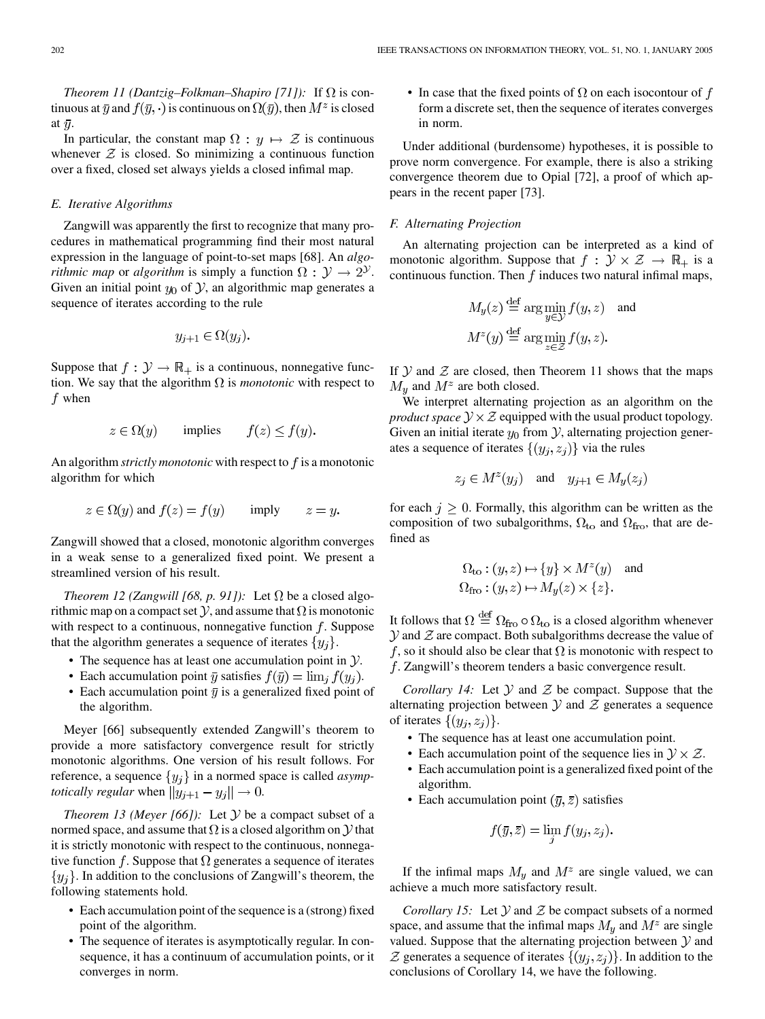*Theorem 11 (Dantzig–Folkman–Shapiro [\[71](#page-20-0)]):* If  $\Omega$  is continuous at  $\overline{\eta}$  and  $f(\overline{\eta}, \cdot)$  is continuous on  $\Omega(\overline{\eta})$ , then  $M^z$  is closed at  $\bar{u}$ .

In particular, the constant map  $\Omega : y \mapsto \mathcal{Z}$  is continuous whenever  $\mathcal Z$  is closed. So minimizing a continuous function over a fixed, closed set always yields a closed infimal map.

# *E. Iterative Algorithms*

Zangwill was apparently the first to recognize that many procedures in mathematical programming find their most natural expression in the language of point-to-set maps [\[68](#page-20-0)]. An *algorithmic map* or *algorithm* is simply a function  $\Omega : \mathcal{Y} \to 2^{\mathcal{Y}}$ . Given an initial point  $y_0$  of  $\mathcal{Y}$ , an algorithmic map generates a sequence of iterates according to the rule

$$
y_{j+1} \in \Omega(y_j).
$$

Suppose that  $f: \mathcal{Y} \to \mathbb{R}_+$  is a continuous, nonnegative function. We say that the algorithm  $\Omega$  is *monotonic* with respect to  $f$  when

$$
z \in \Omega(y)
$$
 implies  $f(z) \le f(y)$ .

An algorithm *strictly monotonic* with respect to  $f$  is a monotonic algorithm for which

$$
z \in \Omega(y)
$$
 and  $f(z) = f(y)$  imply  $z = y$ .

Zangwill showed that a closed, monotonic algorithm converges in a weak sense to a generalized fixed point. We present a streamlined version of his result.

*Theorem 12 (Zangwill [\[68](#page-20-0), p. 91]):* Let  $\Omega$  be a closed algorithmic map on a compact set  $\mathcal{Y}$ , and assume that  $\Omega$  is monotonic with respect to a continuous, nonnegative function  $f$ . Suppose that the algorithm generates a sequence of iterates  $\{y_j\}$ .

- The sequence has at least one accumulation point in  $Y$ .
- Each accumulation point  $\bar{y}$  satisfies  $f(\bar{y}) = \lim_i f(y_i)$ .
- Each accumulation point  $\bar{y}$  is a generalized fixed point of the algorithm.

Meyer [\[66](#page-20-0)] subsequently extended Zangwill's theorem to provide a more satisfactory convergence result for strictly monotonic algorithms. One version of his result follows. For reference, a sequence  $\{y_j\}$  in a normed space is called *asymptotically regular* when  $||y_{j+1} - y_j|| \rightarrow 0$ .

*Theorem 13 (Meyer [\[66](#page-20-0)]):* Let  $Y$  be a compact subset of a normed space, and assume that  $\Omega$  is a closed algorithm on  $\mathcal Y$  that it is strictly monotonic with respect to the continuous, nonnegative function f. Suppose that  $\Omega$  generates a sequence of iterates  $\{y_i\}$ . In addition to the conclusions of Zangwill's theorem, the following statements hold.

- Each accumulation point of the sequence is a (strong) fixed point of the algorithm.
- The sequence of iterates is asymptotically regular. In consequence, it has a continuum of accumulation points, or it converges in norm.

• In case that the fixed points of  $\Omega$  on each isocontour of  $f$ form a discrete set, then the sequence of iterates converges in norm.

Under additional (burdensome) hypotheses, it is possible to prove norm convergence. For example, there is also a striking convergence theorem due to Opial [[72\]](#page-20-0), a proof of which appears in the recent paper [\[73](#page-20-0)].

## *F. Alternating Projection*

An alternating projection can be interpreted as a kind of monotonic algorithm. Suppose that  $f: \mathcal{Y} \times \mathcal{Z} \rightarrow \mathbb{R}_+$  is a continuous function. Then  $f$  induces two natural infimal maps,

$$
M_y(z) \stackrel{\text{def}}{=} \arg \min_{y \in \mathcal{Y}} f(y, z) \text{ and}
$$
  

$$
M^z(y) \stackrel{\text{def}}{=} \arg \min_{z \in \mathcal{Z}} f(y, z).
$$

If  $Y$  and  $Z$  are closed, then Theorem 11 shows that the maps  $M_y$  and  $M^z$  are both closed.

We interpret alternating projection as an algorithm on the *product space*  $\mathcal{Y} \times \mathcal{Z}$  equipped with the usual product topology. Given an initial iterate  $y_0$  from  $\mathcal{Y}$ , alternating projection generates a sequence of iterates  $\{(y_j, z_j)\}\$ via the rules

$$
z_j \in M^z(y_j)
$$
 and  $y_{j+1} \in M_y(z_j)$ 

for each  $j \geq 0$ . Formally, this algorithm can be written as the composition of two subalgorithms,  $\Omega_{\rm to}$  and  $\Omega_{\rm fro}$ , that are defined as

$$
\Omega_{\text{to}} : (y, z) \mapsto \{y\} \times M^z(y) \text{ and } \Omega_{\text{fro}} : (y, z) \mapsto M_y(z) \times \{z\}.
$$

It follows that  $\Omega \stackrel{\text{def}}{=} \Omega_{\text{fro}} \circ \Omega_{\text{to}}$  is a closed algorithm whenever  $\mathcal Y$  and  $\mathcal Z$  are compact. Both subalgorithms decrease the value of f, so it should also be clear that  $\Omega$  is monotonic with respect to . Zangwill's theorem tenders a basic convergence result.

*Corollary 14:* Let  $Y$  and  $Z$  be compact. Suppose that the alternating projection between  $\mathcal Y$  and  $\mathcal Z$  generates a sequence of iterates  $\{(y_i, z_i)\}.$ 

- The sequence has at least one accumulation point.
- Each accumulation point of the sequence lies in  $\mathcal{V} \times \mathcal{Z}$ .
- Each accumulation point is a generalized fixed point of the algorithm.
- Each accumulation point  $(\bar{y}, \bar{z})$  satisfies

$$
f(\bar{y}, \bar{z}) = \lim_{j} f(y_j, z_j).
$$

If the infimal maps  $M_y$  and  $M^z$  are single valued, we can achieve a much more satisfactory result.

*Corollary 15:* Let  $Y$  and  $Z$  be compact subsets of a normed space, and assume that the infimal maps  $M_y$  and  $M^z$  are single valued. Suppose that the alternating projection between  $\mathcal Y$  and  $\mathcal Z$  generates a sequence of iterates  $\{(y_i, z_i)\}\$ . In addition to the conclusions of Corollary 14, we have the following.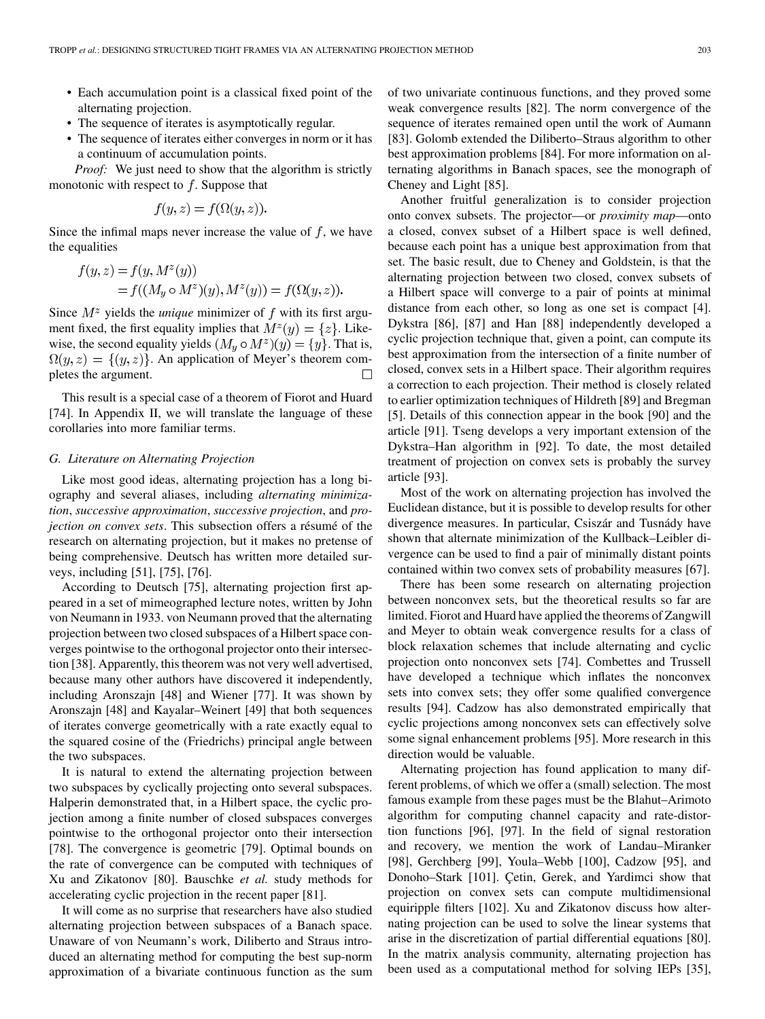- Each accumulation point is a classical fixed point of the alternating projection.
- The sequence of iterates is asymptotically regular.
- The sequence of iterates either converges in norm or it has a continuum of accumulation points.

*Proof:* We just need to show that the algorithm is strictly monotonic with respect to  $f$ . Suppose that

$$
f(y, z) = f(\Omega(y, z)).
$$

Since the infimal maps never increase the value of  $f$ , we have the equalities

$$
f(y, z) = f(y, Mz(y))
$$
  
=  $f((M_y \circ M^z)(y), M^z(y)) = f(\Omega(y, z))$ 

Since  $M^z$  yields the *unique* minimizer of  $f$  with its first argument fixed, the first equality implies that  $M^{z}(y) = \{z\}$ . Likewise, the second equality yields  $(M_u \circ M^z)(y) = \{y\}$ . That is,  $\Omega(y, z) = \{ (y, z) \}.$  An application of Meyer's theorem completes the argument.  $\Box$ 

This result is a special case of a theorem of Fiorot and Huard [\[74](#page-20-0)]. In Appendix II, we will translate the language of these corollaries into more familiar terms.

## *G. Literature on Alternating Projection*

Like most good ideas, alternating projection has a long biography and several aliases, including *alternating minimization*, *successive approximation*, *successive projection*, and *projection on convex sets*. This subsection offers a résumé of the research on alternating projection, but it makes no pretense of being comprehensive. Deutsch has written more detailed surveys, including [\[51](#page-20-0)], [\[75\]](#page-20-0), [[76\]](#page-20-0).

According to Deutsch [[75\]](#page-20-0), alternating projection first appeared in a set of mimeographed lecture notes, written by John von Neumann in 1933. von Neumann proved that the alternating projection between two closed subspaces of a Hilbert space converges pointwise to the orthogonal projector onto their intersection [[38\]](#page-20-0). Apparently, this theorem was not very well advertised, because many other authors have discovered it independently, including Aronszajn [\[48](#page-20-0)] and Wiener [\[77](#page-20-0)]. It was shown by Aronszajn [\[48](#page-20-0)] and Kayalar–Weinert [[49\]](#page-20-0) that both sequences of iterates converge geometrically with a rate exactly equal to the squared cosine of the (Friedrichs) principal angle between the two subspaces.

It is natural to extend the alternating projection between two subspaces by cyclically projecting onto several subspaces. Halperin demonstrated that, in a Hilbert space, the cyclic projection among a finite number of closed subspaces converges pointwise to the orthogonal projector onto their intersection [\[78](#page-20-0)]. The convergence is geometric [[79\]](#page-20-0). Optimal bounds on the rate of convergence can be computed with techniques of Xu and Zikatonov [[80\]](#page-20-0). Bauschke *et al.* study methods for accelerating cyclic projection in the recent paper [\[81\]](#page-20-0).

It will come as no surprise that researchers have also studied alternating projection between subspaces of a Banach space. Unaware of von Neumann's work, Diliberto and Straus introduced an alternating method for computing the best sup-norm approximation of a bivariate continuous function as the sum

of two univariate continuous functions, and they proved some weak convergence results [[82\]](#page-20-0). The norm convergence of the sequence of iterates remained open until the work of Aumann [\[83](#page-20-0)]. Golomb extended the Diliberto–Straus algorithm to other best approximation problems [[84\]](#page-20-0). For more information on alternating algorithms in Banach spaces, see the monograph of Cheney and Light [\[85](#page-20-0)].

Another fruitful generalization is to consider projection onto convex subsets. The projector—or *proximity map*—onto a closed, convex subset of a Hilbert space is well defined, because each point has a unique best approximation from that set. The basic result, due to Cheney and Goldstein, is that the alternating projection between two closed, convex subsets of a Hilbert space will converge to a pair of points at minimal distance from each other, so long as one set is compact [\[4](#page-19-0)]. Dykstra [\[86](#page-20-0)], [[87\]](#page-20-0) and Han [\[88](#page-20-0)] independently developed a cyclic projection technique that, given a point, can compute its best approximation from the intersection of a finite number of closed, convex sets in a Hilbert space. Their algorithm requires a correction to each projection. Their method is closely related to earlier optimization techniques of Hildreth [\[89](#page-20-0)] and Bregman [\[5](#page-19-0)]. Details of this connection appear in the book [\[90](#page-21-0)] and the article [[91\]](#page-21-0). Tseng develops a very important extension of the Dykstra–Han algorithm in [[92\]](#page-21-0). To date, the most detailed treatment of projection on convex sets is probably the survey article [\[93](#page-21-0)].

Most of the work on alternating projection has involved the Euclidean distance, but it is possible to develop results for other divergence measures. In particular, Csiszár and Tusnády have shown that alternate minimization of the Kullback–Leibler divergence can be used to find a pair of minimally distant points contained within two convex sets of probability measures [[67\]](#page-20-0).

There has been some research on alternating projection between nonconvex sets, but the theoretical results so far are limited. Fiorot and Huard have applied the theorems of Zangwill and Meyer to obtain weak convergence results for a class of block relaxation schemes that include alternating and cyclic projection onto nonconvex sets [\[74\]](#page-20-0). Combettes and Trussell have developed a technique which inflates the nonconvex sets into convex sets; they offer some qualified convergence results [[94\]](#page-21-0). Cadzow has also demonstrated empirically that cyclic projections among nonconvex sets can effectively solve some signal enhancement problems [\[95](#page-21-0)]. More research in this direction would be valuable.

Alternating projection has found application to many different problems, of which we offer a (small) selection. The most famous example from these pages must be the Blahut–Arimoto algorithm for computing channel capacity and rate-distortion functions [[96\]](#page-21-0), [[97\]](#page-21-0). In the field of signal restoration and recovery, we mention the work of Landau–Miranker [\[98](#page-21-0)], Gerchberg [[99\]](#page-21-0), Youla–Webb [[100\]](#page-21-0), Cadzow [[95\]](#page-21-0), and Donoho–Stark [\[101\]](#page-21-0). Çetin, Gerek, and Yardimci show that projection on convex sets can compute multidimensional equiripple filters [\[102\]](#page-21-0). Xu and Zikatonov discuss how alternating projection can be used to solve the linear systems that arise in the discretization of partial differential equations [\[80](#page-20-0)]. In the matrix analysis community, alternating projection has been used as a computational method for solving IEPs [\[35](#page-20-0)],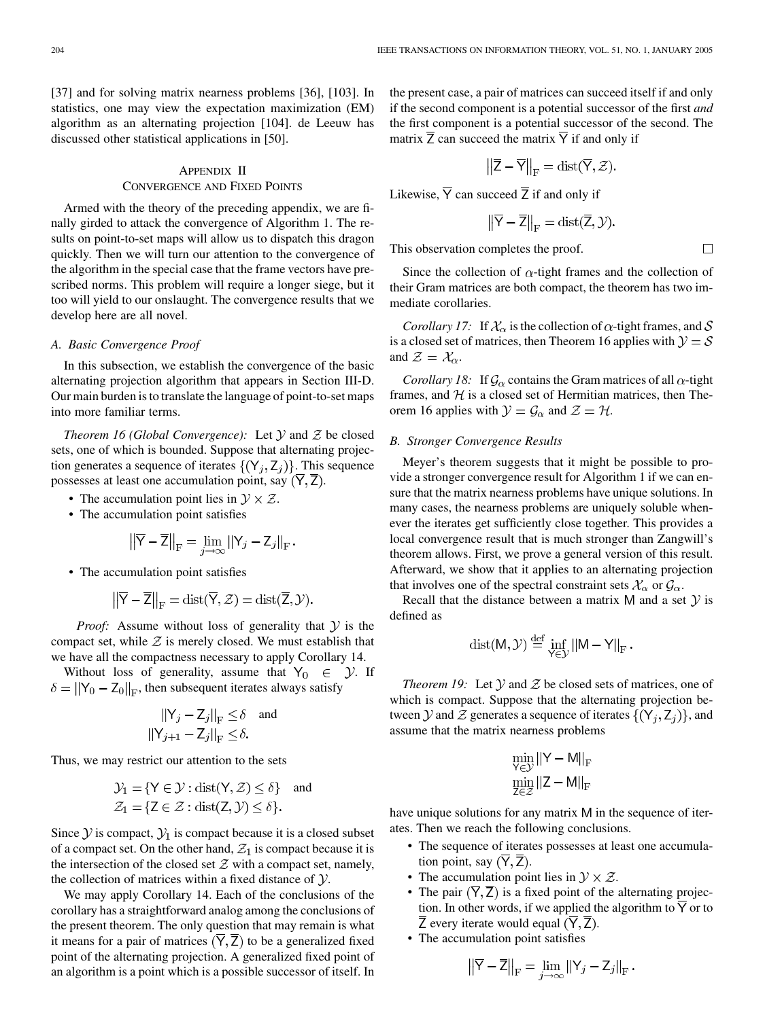[[37\]](#page-20-0) and for solving matrix nearness problems [[36\]](#page-20-0), [\[103](#page-21-0)]. In statistics, one may view the expectation maximization (EM) algorithm as an alternating projection [[104\]](#page-21-0). de Leeuw has discussed other statistical applications in [\[50](#page-20-0)].

# APPENDIX II CONVERGENCE AND FIXED POINTS

Armed with the theory of the preceding appendix, we are finally girded to attack the convergence of Algorithm 1. The results on point-to-set maps will allow us to dispatch this dragon quickly. Then we will turn our attention to the convergence of the algorithm in the special case that the frame vectors have prescribed norms. This problem will require a longer siege, but it too will yield to our onslaught. The convergence results that we develop here are all novel.

#### *A. Basic Convergence Proof*

In this subsection, we establish the convergence of the basic alternating projection algorithm that appears in Section III-D. Our main burden is to translate the language of point-to-set maps into more familiar terms.

*Theorem 16 (Global Convergence):* Let  $\mathcal Y$  and  $\mathcal Z$  be closed sets, one of which is bounded. Suppose that alternating projection generates a sequence of iterates  $\{(\mathsf{Y}_j, \mathsf{Z}_j)\}\.$  This sequence possesses at least one accumulation point, say  $(Y, Z)$ .

- The accumulation point lies in  $\mathcal{V} \times \mathcal{Z}$ .
- The accumulation point satisfies

$$
\left|\overline{\mathsf{Y}}-\overline{\mathsf{Z}}\right\|_{\mathrm{F}}=\lim_{j\to\infty}\left|\left|\mathsf{Y}_{j}-\mathsf{Z}_{j}\right|\right|_{\mathrm{F}}.
$$

• The accumulation point satisfies

$$
\left\|\overline{\mathsf{Y}}-\overline{\mathsf{Z}}\right\|_{\mathrm{F}}=\mathrm{dist}(\overline{\mathsf{Y}},\mathcal{Z})=\mathrm{dist}(\overline{\mathsf{Z}},\mathcal{Y})
$$

*Proof:* Assume without loss of generality that  $\mathcal Y$  is the compact set, while  $\mathcal Z$  is merely closed. We must establish that we have all the compactness necessary to apply Corollary 14.

Without loss of generality, assume that  $Y_0 \in \mathcal{Y}$ . If  $\delta = ||Y_0 - Z_0||_F$ , then subsequent iterates always satisfy

$$
||\mathsf{Y}_j - \mathsf{Z}_j||_{\mathrm{F}} \le \delta \quad \text{and}
$$
  

$$
||\mathsf{Y}_{j+1} - \mathsf{Z}_j||_{\mathrm{F}} \le \delta.
$$

Thus, we may restrict our attention to the sets

$$
\mathcal{Y}_1 = \{ Y \in \mathcal{Y} : \text{dist}(Y, \mathcal{Z}) \le \delta \} \text{ and}
$$
  

$$
\mathcal{Z}_1 = \{ Z \in \mathcal{Z} : \text{dist}(Z, \mathcal{Y}) \le \delta \}.
$$

Since  $\mathcal Y$  is compact,  $\mathcal Y_1$  is compact because it is a closed subset of a compact set. On the other hand,  $\mathcal{Z}_1$  is compact because it is the intersection of the closed set  $\mathcal Z$  with a compact set, namely, the collection of matrices within a fixed distance of  $\mathcal{Y}$ .

We may apply Corollary 14. Each of the conclusions of the corollary has a straightforward analog among the conclusions of the present theorem. The only question that may remain is what it means for a pair of matrices  $(\overline{Y}, \overline{Z})$  to be a generalized fixed point of the alternating projection. A generalized fixed point of an algorithm is a point which is a possible successor of itself. In

the present case, a pair of matrices can succeed itself if and only if the second component is a potential successor of the first *and* the first component is a potential successor of the second. The matrix  $\overline{Z}$  can succeed the matrix  $\overline{Y}$  if and only if

$$
\left\|\overline{Z} - \overline{Y}\right\|_{\mathrm{F}} = \mathrm{dist}(\overline{Y}, \mathcal{Z}).
$$

Likewise,  $\overline{Y}$  can succeed  $\overline{Z}$  if and only if

$$
\left\|\overline{\mathsf{Y}}-\overline{\mathsf{Z}}\right\|_{\mathrm{F}}=\mathrm{dist}(\overline{\mathsf{Z}},\mathcal{Y}).
$$

This observation completes the proof.

Since the collection of  $\alpha$ -tight frames and the collection of their Gram matrices are both compact, the theorem has two immediate corollaries.

*Corollary 17:* If  $\mathcal{X}_{\alpha}$  is the collection of  $\alpha$ -tight frames, and S is a closed set of matrices, then Theorem 16 applies with  $\mathcal{Y} = \mathcal{S}$ and  $\mathcal{Z} = \mathcal{X}_{\alpha}$ .

*Corollary 18:* If  $\mathcal{G}_{\alpha}$  contains the Gram matrices of all  $\alpha$ -tight frames, and  $H$  is a closed set of Hermitian matrices, then Theorem 16 applies with  $\mathcal{Y} = \mathcal{G}_{\alpha}$  and  $\mathcal{Z} = \mathcal{H}$ .

## *B. Stronger Convergence Results*

Meyer's theorem suggests that it might be possible to provide a stronger convergence result for Algorithm 1 if we can ensure that the matrix nearness problems have unique solutions. In many cases, the nearness problems are uniquely soluble whenever the iterates get sufficiently close together. This provides a local convergence result that is much stronger than Zangwill's theorem allows. First, we prove a general version of this result. Afterward, we show that it applies to an alternating projection that involves one of the spectral constraint sets  $\mathcal{X}_{\alpha}$  or  $\mathcal{G}_{\alpha}$ .

Recall that the distance between a matrix M and a set  $\mathcal Y$  is defined as

$$
\mathrm{dist}(M,\mathcal{Y}) \stackrel{\mathrm{def}}{=} \inf_{Y \in \mathcal{Y}} \left\| M - Y \right\|_{\mathrm{F}}.
$$

*Theorem 19:* Let  $\mathcal Y$  and  $\mathcal Z$  be closed sets of matrices, one of which is compact. Suppose that the alternating projection between Y and Z generates a sequence of iterates  $\{(Y_i, Z_i)\}\$ , and assume that the matrix nearness problems

$$
\min_{Y \in \mathcal{Y}} ||Y - M||_F
$$
  

$$
\min_{Z \in \mathcal{Z}} ||Z - M||_F
$$

have unique solutions for any matrix  $M$  in the sequence of iterates. Then we reach the following conclusions.

- The sequence of iterates possesses at least one accumulation point, say  $(\overline{Y}, \overline{Z})$ .
- The accumulation point lies in  $\mathcal{Y} \times \mathcal{Z}$ .
- The pair  $(\overline{Y}, \overline{Z})$  is a fixed point of the alternating projection. In other words, if we applied the algorithm to  $\overline{Y}$  or to  $\overline{Z}$  every iterate would equal  $(\overline{Y}, \overline{Z})$ .
- The accumulation point satisfies

$$
\left\|\overline{\mathsf{Y}}-\overline{\mathsf{Z}}\right\|_{\mathrm{F}}=\lim_{j\to\infty}\left\|\mathsf{Y}_{j}-\mathsf{Z}_{j}\right\|_{\mathrm{F}}.
$$

 $\Box$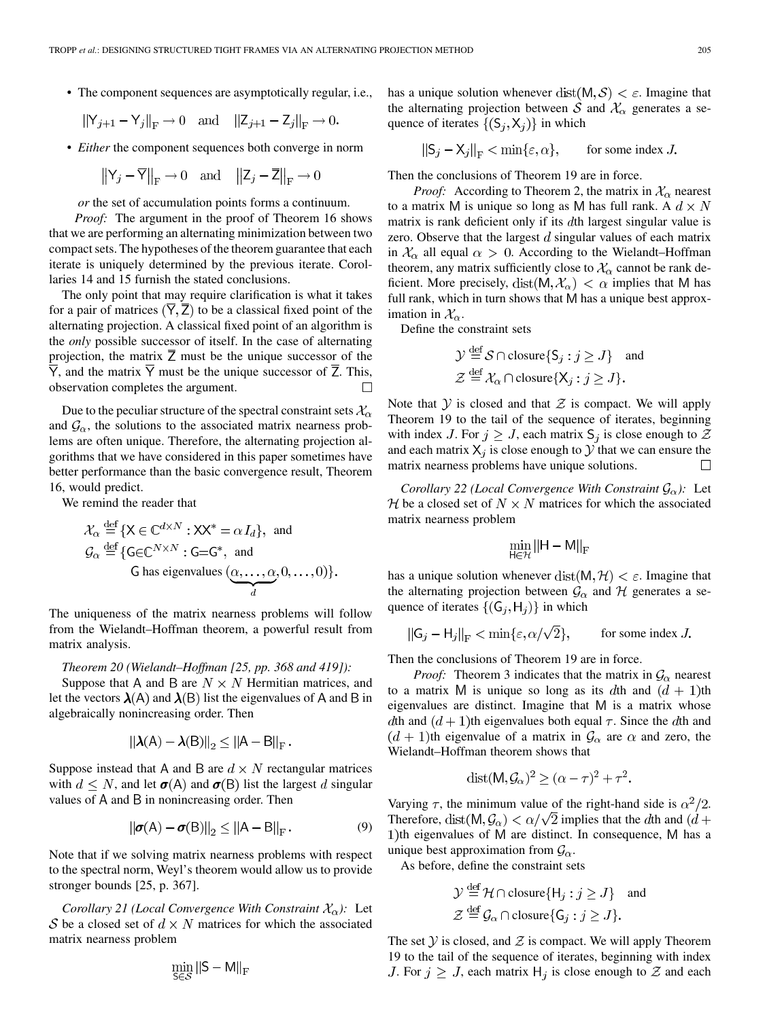• The component sequences are asymptotically regular, i.e.,

$$
||Y_{j+1} - Y_j||_F \to 0
$$
 and  $||Z_{j+1} - Z_j||_F \to 0$ .

• *Either* the component sequences both converge in norm

$$
||Y_j - \overline{Y}||_F \to 0
$$
 and  $||Z_j - \overline{Z}||_F \to 0$ 

*or* the set of accumulation points forms a continuum.

*Proof:* The argument in the proof of Theorem 16 shows that we are performing an alternating minimization between two compact sets. The hypotheses of the theorem guarantee that each iterate is uniquely determined by the previous iterate. Corollaries 14 and 15 furnish the stated conclusions.

The only point that may require clarification is what it takes for a pair of matrices  $(\overline{Y}, \overline{Z})$  to be a classical fixed point of the alternating projection. A classical fixed point of an algorithm is the *only* possible successor of itself. In the case of alternating projection, the matrix  $\overline{Z}$  must be the unique successor of the  $\overline{Y}$ , and the matrix  $\overline{Y}$  must be the unique successor of  $\overline{Z}$ . This, observation completes the argument.  $\Box$ 

Due to the peculiar structure of the spectral constraint sets  $\mathcal{X}_{\alpha}$ and  $\mathcal{G}_{\alpha}$ , the solutions to the associated matrix nearness problems are often unique. Therefore, the alternating projection algorithms that we have considered in this paper sometimes have better performance than the basic convergence result, Theorem 16, would predict.

We remind the reader that

$$
\mathcal{X}_{\alpha} \stackrel{\text{def}}{=} \{ X \in \mathbb{C}^{d \times N} : XX^* = \alpha I_d \}, \text{ and}
$$
  

$$
\mathcal{G}_{\alpha} \stackrel{\text{def}}{=} \{ G \in \mathbb{C}^{N \times N} : G = G^*, \text{ and}
$$
  
G has eigenvalues  $(\alpha, ..., \alpha, 0, ..., 0) \}.$ 

The uniqueness of the matrix nearness problems will follow from the Wielandt–Hoffman theorem, a powerful result from matrix analysis.

*Theorem 20 (Wielandt–Hoffman [[25,](#page-19-0) pp. 368 and 419]):*

Suppose that A and B are  $N \times N$  Hermitian matrices, and let the vectors  $\lambda(A)$  and  $\lambda(B)$  list the eigenvalues of A and B in algebraically nonincreasing order. Then

$$
\left\| \boldsymbol{\lambda}(\mathsf{A}) - \boldsymbol{\lambda}(\mathsf{B}) \right\|_2 \leq \left\| \mathsf{A} - \mathsf{B} \right\|_{\mathrm{F}}
$$

Suppose instead that A and B are  $d \times N$  rectangular matrices with  $d \leq N$ , and let  $\sigma(A)$  and  $\sigma(B)$  list the largest d singular values of A and B in nonincreasing order. Then

$$
\|\boldsymbol{\sigma}(\mathsf{A}) - \boldsymbol{\sigma}(\mathsf{B})\|_2 \leq \|\mathsf{A} - \mathsf{B}\|_{\mathrm{F}}.
$$
 (9)

Note that if we solving matrix nearness problems with respect to the spectral norm, Weyl's theorem would allow us to provide stronger bounds [\[25](#page-19-0), p. 367].

*Corollary 21 (Local Convergence With Constraint*  $\mathcal{X}_{\alpha}$ ): Let S be a closed set of  $d \times N$  matrices for which the associated matrix nearness problem

$$
\min_{\mathsf{S} \subset \mathsf{S}} \left\| \mathsf{S} - \mathsf{M} \right\|_{\mathrm{F}}
$$

has a unique solution whenever  $dist(M, S) < \varepsilon$ . Imagine that the alternating projection between S and  $\mathcal{X}_{\alpha}$  generates a sequence of iterates  $\{(\mathsf{S}_i, \mathsf{X}_i)\}\$ in which

> $||S_i - X_i||_{\mathcal{F}} < \min\{\varepsilon, \alpha\},\$ for some index  $J$ .

Then the conclusions of Theorem 19 are in force.

*Proof:* According to Theorem 2, the matrix in  $\mathcal{X}_{\alpha}$  nearest to a matrix M is unique so long as M has full rank. A  $d \times N$ matrix is rank deficient only if its  $d$ th largest singular value is zero. Observe that the largest  $d$  singular values of each matrix in  $\mathcal{X}_{\alpha}$  all equal  $\alpha > 0$ . According to the Wielandt–Hoffman theorem, any matrix sufficiently close to  $\mathcal{X}_{\alpha}$  cannot be rank deficient. More precisely, dist( $M, \mathcal{X}_{\alpha}$ ) <  $\alpha$  implies that M has full rank, which in turn shows that  $M$  has a unique best approximation in  $\mathcal{X}_{\alpha}$ .

Define the constraint sets  $\mathbb{R}^2$ 

$$
\mathcal{Y} \stackrel{\text{def}}{=} \mathcal{S} \cap \text{closure}\{S_j : j \ge J\} \text{ and}
$$
  

$$
\mathcal{Z} \stackrel{\text{def}}{=} \mathcal{X}_{\alpha} \cap \text{closure}\{X_j : j \ge J\}.
$$

Note that  $\mathcal Y$  is closed and that  $\mathcal Z$  is compact. We will apply Theorem 19 to the tail of the sequence of iterates, beginning with index J. For  $j \geq J$ , each matrix  $S_j$  is close enough to  $\mathcal Z$ and each matrix  $X_i$  is close enough to  $\mathcal Y$  that we can ensure the matrix nearness problems have unique solutions. П

*Corollary 22 (Local Convergence With Constraint*  $\mathcal{G}_{\alpha}$ ): Let  $\mathcal H$  be a closed set of  $N \times N$  matrices for which the associated matrix nearness problem

$$
\min_{\mathsf{H}\in\mathcal{H}}\left\Vert \mathsf{H}-\mathsf{M}\right\Vert _{\mathrm{F}}
$$

has a unique solution whenever  $dist(M, H) < \varepsilon$ . Imagine that the alternating projection between  $\mathcal{G}_{\alpha}$  and H generates a sequence of iterates  $\{(\mathsf{G}_i, \mathsf{H}_i)\}\$ in which

$$
||G_j - H_j||_F < \min{\{\varepsilon, \alpha/\sqrt{2}\}},
$$
 for some index *J*.

Then the conclusions of Theorem 19 are in force.

*Proof:* Theorem 3 indicates that the matrix in  $\mathcal{G}_{\alpha}$  nearest to a matrix M is unique so long as its dth and  $(d + 1)$ th eigenvalues are distinct. Imagine that  $M$  is a matrix whose dth and  $(d + 1)$ th eigenvalues both equal  $\tau$ . Since the dth and  $(d + 1)$ th eigenvalue of a matrix in  $\mathcal{G}_{\alpha}$  are  $\alpha$  and zero, the Wielandt–Hoffman theorem shows that

$$
dist(M, \mathcal{G}_{\alpha})^2 \ge (\alpha - \tau)^2 + \tau^2.
$$

Varying  $\tau$ , the minimum value of the right-hand side is  $\alpha^2/2$ . Therefore, dist(M,  $\mathcal{G}_{\alpha}$ )  $< \alpha/\sqrt{2}$  implies that the dth and (d + 1)th eigenvalues of  $M$  are distinct. In consequence,  $M$  has a unique best approximation from  $\mathcal{G}_{\alpha}$ .

As before, define the constraint sets

$$
\mathcal{Y} \stackrel{\text{def}}{=} \mathcal{H} \cap \text{closure}\{\mathsf{H}_j : j \ge J\} \text{ and}
$$
  

$$
\mathcal{Z} \stackrel{\text{def}}{=} \mathcal{G}_{\alpha} \cap \text{closure}\{\mathsf{G}_j : j \ge J\}.
$$

The set  $\mathcal Y$  is closed, and  $\mathcal Z$  is compact. We will apply Theorem 19 to the tail of the sequence of iterates, beginning with index J. For  $j \geq J$ , each matrix  $H_j$  is close enough to  $\mathcal Z$  and each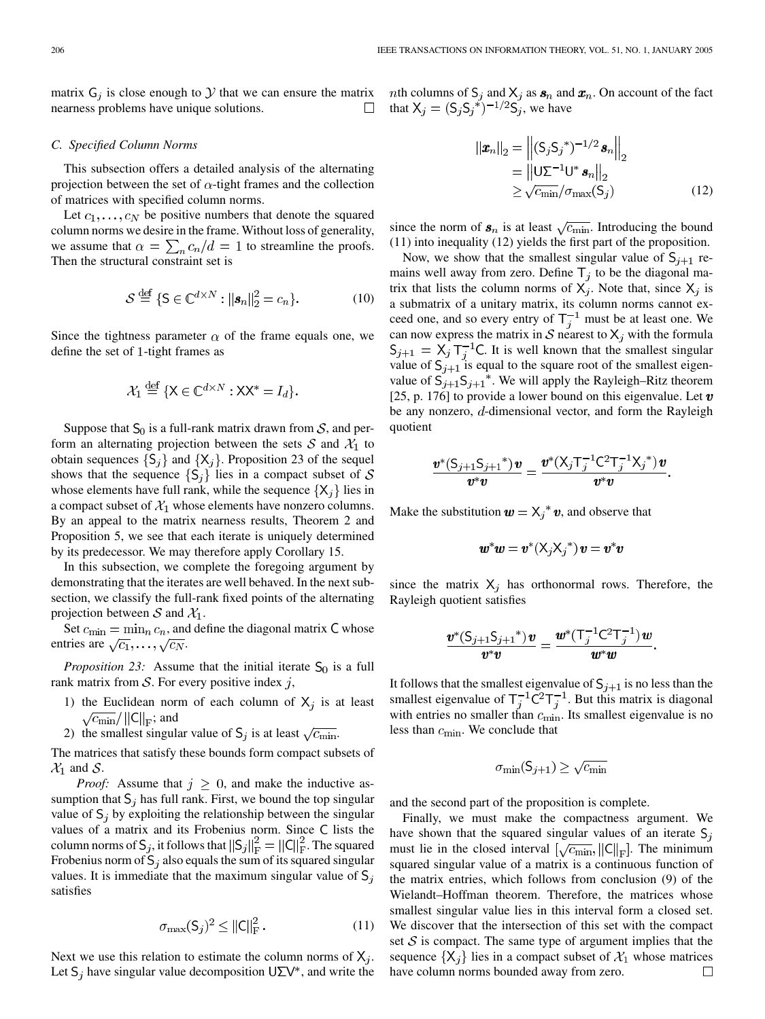matrix  $G_i$  is close enough to Y that we can ensure the matrix nearness problems have unique solutions.  $\Box$ 

#### *C. Specified Column Norms*

This subsection offers a detailed analysis of the alternating projection between the set of  $\alpha$ -tight frames and the collection of matrices with specified column norms.

Let  $c_1, \ldots, c_N$  be positive numbers that denote the squared column norms we desire in the frame. Without loss of generality, we assume that  $\alpha = \sum_n c_n/d = 1$  to streamline the proofs. Then the structural constraint set is

$$
S \stackrel{\text{def}}{=} \{ S \in \mathbb{C}^{d \times N} : ||\mathbf{s}_n||_2^2 = c_n \}. \tag{10}
$$

Since the tightness parameter  $\alpha$  of the frame equals one, we define the set of 1-tight frames as

$$
\mathcal{X}_1 \stackrel{\text{def}}{=} \{ \mathsf{X} \in \mathbb{C}^{d \times N} : \mathsf{XX}^* = I_d \}.
$$

Suppose that  $S_0$  is a full-rank matrix drawn from S, and perform an alternating projection between the sets  $S$  and  $\mathcal{X}_1$  to obtain sequences  $\{S_i\}$  and  $\{X_i\}$ . Proposition 23 of the sequel shows that the sequence  $\{S_j\}$  lies in a compact subset of S whose elements have full rank, while the sequence  $\{X_i\}$  lies in a compact subset of  $\mathcal{X}_1$  whose elements have nonzero columns. By an appeal to the matrix nearness results, Theorem 2 and Proposition 5, we see that each iterate is uniquely determined by its predecessor. We may therefore apply Corollary 15.

In this subsection, we complete the foregoing argument by demonstrating that the iterates are well behaved. In the next subsection, we classify the full-rank fixed points of the alternating projection between S and  $X_1$ .

Set  $c_{\min} = \min_n c_n$ , and define the diagonal matrix C whose entries are  $\sqrt{c_1}, \ldots, \sqrt{c_N}$ .

*Proposition 23:* Assume that the initial iterate  $S_0$  is a full rank matrix from  $S$ . For every positive index j,

- 1) the Euclidean norm of each column of  $X_i$  is at least  $\sqrt{c_{\min}}/||C||_F$ ; and
- 2) the smallest singular value of  $S_i$  is at least  $\sqrt{c_{\text{min}}}$ .

The matrices that satisfy these bounds form compact subsets of  $\mathcal{X}_1$  and  $\mathcal{S}$ .

*Proof:* Assume that  $j \geq 0$ , and make the inductive assumption that  $S_i$  has full rank. First, we bound the top singular value of  $S_i$  by exploiting the relationship between the singular values of a matrix and its Frobenius norm. Since C lists the column norms of  $S_j$ , it follows that  $||S_j||_F^2 = ||C||_F^2$ . The squared Frobenius norm of  $S_i$  also equals the sum of its squared singular values. It is immediate that the maximum singular value of  $S_i$ satisfies

$$
\sigma_{\max}(\mathsf{S}_j)^2 \le ||\mathsf{C}||_{\mathsf{F}}^2. \tag{11}
$$

Next we use this relation to estimate the column norms of  $X_j$ . Let  $S_i$  have singular value decomposition  $U\Sigma V^*$ , and write the

th columns of S<sub>i</sub> and  $X_i$  as  $s_n$  and  $x_n$ . On account of the fact that  $X_i = (S_i S_i^*)^{-1/2} S_i$ , we have

$$
\|\boldsymbol{x}_{n}\|_{2} = \left\| (\mathbf{S}_{j}\mathbf{S}_{j}^{*})^{-1/2} \boldsymbol{s}_{n} \right\|_{2}
$$

$$
= \left\| \mathbf{U} \boldsymbol{\Sigma}^{-1} \mathbf{U}^{*} \boldsymbol{s}_{n} \right\|_{2}
$$

$$
\geq \sqrt{c_{\min}} / \sigma_{\max}(\mathbf{S}_{j})
$$
(12)

since the norm of  $s_n$  is at least  $\sqrt{c_{\text{min}}}$ . Introducing the bound (11) into inequality (12) yields the first part of the proposition.

Now, we show that the smallest singular value of  $S_{i+1}$  remains well away from zero. Define  $T_j$  to be the diagonal matrix that lists the column norms of  $X_j$ . Note that, since  $X_j$  is a submatrix of a unitary matrix, its column norms cannot exceed one, and so every entry of  $T_i^{-1}$  must be at least one. We can now express the matrix in S nearest to  $X_i$  with the formula  $S_{j+1} = X_j T_j^{-1}C$ . It is well known that the smallest singular value of  $S_{j+1}$  is equal to the square root of the smallest eigenvalue of  $S_{j+1}S_{j+1}^*$ . We will apply the Rayleigh–Ritz theorem [[25,](#page-19-0) p. 176] to provide a lower bound on this eigenvalue. Let  $v$ be any nonzero,  $d$ -dimensional vector, and form the Rayleigh quotient

$$
\frac{\boldsymbol{v}^*(\boldsymbol{S}_{j+1}\boldsymbol{S}_{j+1}^*)\boldsymbol{v}}{\boldsymbol{v}^*\boldsymbol{v}}=\frac{\boldsymbol{v}^*(\boldsymbol{X}_j\boldsymbol{T}_j^{-1}\boldsymbol{C}^2\boldsymbol{T}_j^{-1}\boldsymbol{X}_j^*)\boldsymbol{v}}{\boldsymbol{v}^*\boldsymbol{v}}.
$$

Make the substitution  $\mathbf{w} = X_i^* \mathbf{v}$ , and observe that

$$
\boldsymbol{w}^*\boldsymbol{w} = \boldsymbol{v}^*(\mathsf{X}_i\mathsf{X}_i^*)\,\boldsymbol{v} = \boldsymbol{v}^*\boldsymbol{v}
$$

since the matrix  $X_i$  has orthonormal rows. Therefore, the Rayleigh quotient satisfies

$$
\frac{\bm{v}^*(\bm{\mathsf{S}}_{j+1} \bm{\mathsf{S}}_{j+1}^*) \bm{v}}{\bm{v}^*\bm{v}} = \frac{\bm{w}^*(\bm{\mathsf{T}}_j^{-1}\bm{\mathsf{C}}^2\bm{\mathsf{T}}_j^{-1}) \bm{w}}{\bm{w}^*\bm{w}}
$$

It follows that the smallest eigenvalue of  $S_{j+1}$  is no less than the smallest eigenvalue of  $T_j^{-1}C^2T_j^{-1}$ . But this matrix is diagonal with entries no smaller than  $c_{\text{min}}$ . Its smallest eigenvalue is no less than  $c_{\text{min}}$ . We conclude that

$$
\sigma_{\min}(S_{j+1}) \ge \sqrt{c_{\min}}
$$

and the second part of the proposition is complete.

Finally, we must make the compactness argument. We have shown that the squared singular values of an iterate  $S_i$ must lie in the closed interval  $[\sqrt{c_{\min}}, ||C||_F]$ . The minimum squared singular value of a matrix is a continuous function of the matrix entries, which follows from conclusion (9) of the Wielandt–Hoffman theorem. Therefore, the matrices whose smallest singular value lies in this interval form a closed set. We discover that the intersection of this set with the compact set  $S$  is compact. The same type of argument implies that the sequence  $\{X_j\}$  lies in a compact subset of  $\mathcal{X}_1$  whose matrices have column norms bounded away from zero. $\Box$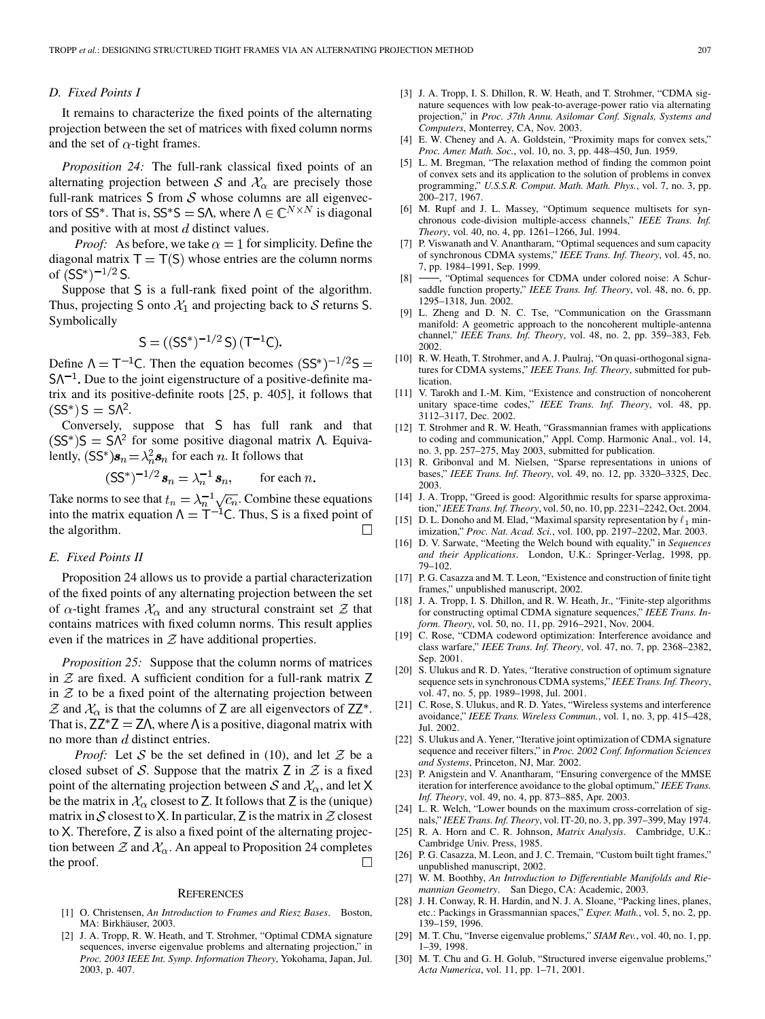## <span id="page-19-0"></span>*D. Fixed Points I*

It remains to characterize the fixed points of the alternating projection between the set of matrices with fixed column norms and the set of  $\alpha$ -tight frames.

*Proposition 24:* The full-rank classical fixed points of an alternating projection between S and  $\mathcal{X}_{\alpha}$  are precisely those full-rank matrices  $S$  from  $S$  whose columns are all eigenvectors of SS<sup>\*</sup>. That is, SS<sup>\*</sup>S = S $\Lambda$ , where  $\Lambda \in \mathbb{C}^{N \times N}$  is diagonal and positive with at most  $d$  distinct values.

*Proof:* As before, we take  $\alpha = 1$  for simplicity. Define the diagonal matrix  $T = T(S)$  whose entries are the column norms of  $(SS^*)^{-1/2}$  S.

Suppose that S is a full-rank fixed point of the algorithm. Thus, projecting S onto  $\mathcal{X}_1$  and projecting back to S returns S. Symbolically

$$
S = ((SS^*)^{-1/2} S) (T^{-1} C).
$$

Define  $\Lambda = T^{-1}C$ . Then the equation becomes  $(SS^*)^{-1/2}S =$  $S\Lambda^{-1}$ . Due to the joint eigenstructure of a positive-definite matrix and its positive-definite roots [25, p. 405], it follows that  $(SS^*)S = S\Lambda^2$ .

Conversely, suppose that S has full rank and that  $f(SS^*)S = S\Lambda^2$  for some positive diagonal matrix  $\Lambda$ . Equivalently,  $(SS^*)\mathbf{s}_n = \lambda_n^2 \mathbf{s}_n$  for each *n*. It follows that

$$
(\mathsf{SS}^*)^{-1/2}\,\mathbf{s}_n=\lambda_n^{-1}\,\mathbf{s}_n,\qquad\text{for each }n.
$$

Take norms to see that  $t_n = \lambda_n^{-1} \sqrt{c_n}$ . Combine these equations into the matrix equation  $\Lambda = T^{-1}C$ . Thus, S is a fixed point of the algorithm.  $\Box$ 

## *E. Fixed Points II*

Proposition 24 allows us to provide a partial characterization of the fixed points of any alternating projection between the set of  $\alpha$ -tight frames  $\mathcal{X}_{\alpha}$  and any structural constraint set  $\mathcal Z$  that contains matrices with fixed column norms. This result applies even if the matrices in  $Z$  have additional properties.

*Proposition 25:* Suppose that the column norms of matrices in  $Z$  are fixed. A sufficient condition for a full-rank matrix  $Z$ in  $\mathcal Z$  to be a fixed point of the alternating projection between  $\mathcal Z$  and  $\mathcal X_\alpha$  is that the columns of Z are all eigenvectors of ZZ<sup>\*</sup>. That is,  $ZZ^*Z = Z\Lambda$ , where  $\Lambda$  is a positive, diagonal matrix with no more than  $d$  distinct entries.

*Proof:* Let S be the set defined in (10), and let  $\mathcal Z$  be a closed subset of S. Suppose that the matrix Z in  $\mathcal Z$  is a fixed point of the alternating projection between S and  $\mathcal{X}_{\alpha}$ , and let X be the matrix in  $\mathcal{X}_{\alpha}$  closest to Z. It follows that Z is the (unique) matrix in  $\mathcal S$  closest to X. In particular, Z is the matrix in  $\mathcal Z$  closest to  $X$ . Therefore,  $Z$  is also a fixed point of the alternating projection between  $\mathcal Z$  and  $\mathcal X_\alpha$ . An appeal to Proposition 24 completes the proof.  $\Box$ 

#### **REFERENCES**

- [1] O. Christensen, *An Introduction to Frames and Riesz Bases*. Boston, MA: Birkhäuser, 2003.
- [2] J. A. Tropp, R. W. Heath, and T. Strohmer, "Optimal CDMA signature sequences, inverse eigenvalue problems and alternating projection," in *Proc. 2003 IEEE Int. Symp. Information Theory*, Yokohama, Japan, Jul. 2003, p. 407.
- [3] J. A. Tropp, I. S. Dhillon, R. W. Heath, and T. Strohmer, "CDMA signature sequences with low peak-to-average-power ratio via alternating projection," in *Proc. 37th Annu. Asilomar Conf. Signals, Systems and Computers*, Monterrey, CA, Nov. 2003.
- [4] E. W. Cheney and A. A. Goldstein, "Proximity maps for convex sets," *Proc. Amer. Math. Soc.*, vol. 10, no. 3, pp. 448–450, Jun. 1959.
- [5] L. M. Bregman, "The relaxation method of finding the common point of convex sets and its application to the solution of problems in convex programming," *U.S.S.R. Comput. Math. Math. Phys.*, vol. 7, no. 3, pp. 200–217, 1967.
- [6] M. Rupf and J. L. Massey, "Optimum sequence multisets for synchronous code-division multiple-access channels," *IEEE Trans. Inf. Theory*, vol. 40, no. 4, pp. 1261–1266, Jul. 1994.
- P. Viswanath and V. Anantharam, "Optimal sequences and sum capacity of synchronous CDMA systems," *IEEE Trans. Inf. Theory*, vol. 45, no. 7, pp. 1984–1991, Sep. 1999.
- [8]  $\rightarrow$  "Optimal sequences for CDMA under colored noise: A Schursaddle function property," *IEEE Trans. Inf. Theory*, vol. 48, no. 6, pp. 1295–1318, Jun. 2002.
- L. Zheng and D. N. C. Tse, "Communication on the Grassmann manifold: A geometric approach to the noncoherent multiple-antenna channel," *IEEE Trans. Inf. Theory*, vol. 48, no. 2, pp. 359–383, Feb. 2002.
- [10] R. W. Heath, T. Strohmer, and A. J. Paulraj, "On quasi-orthogonal signatures for CDMA systems," *IEEE Trans. Inf. Theory*, submitted for publication.
- [11] V. Tarokh and I.-M. Kim, "Existence and construction of noncoherent unitary space-time codes," *IEEE Trans. Inf. Theory*, vol. 48, pp. 3112–3117, Dec. 2002.
- [12] T. Strohmer and R. W. Heath, "Grassmannian frames with applications to coding and communication," Appl. Comp. Harmonic Anal., vol. 14, no. 3, pp. 257–275, May 2003, submitted for publication.
- [13] R. Gribonval and M. Nielsen, "Sparse representations in unions of bases," *IEEE Trans. Inf. Theory*, vol. 49, no. 12, pp. 3320–3325, Dec. 2003.
- [14] J. A. Tropp, "Greed is good: Algorithmic results for sparse approximation," *IEEE Trans. Inf. Theory*, vol. 50, no. 10, pp. 2231–2242, Oct. 2004.
- [15] D. L. Donoho and M. Elad, "Maximal sparsity representation by  $\ell_1$  minimization," *Proc. Nat. Acad. Sci.*, vol. 100, pp. 2197–2202, Mar. 2003.
- [16] D. V. Sarwate, "Meeting the Welch bound with equality," in *Sequences and their Applications*. London, U.K.: Springer-Verlag, 1998, pp. 79–102.
- [17] P. G. Casazza and M. T. Leon, "Existence and construction of finite tight frames," unpublished manuscript, 2002.
- [18] J. A. Tropp, I. S. Dhillon, and R. W. Heath, Jr., "Finite-step algorithms for constructing optimal CDMA signature sequences," *IEEE Trans. Inform. Theory*, vol. 50, no. 11, pp. 2916–2921, Nov. 2004.
- [19] C. Rose, "CDMA codeword optimization: Interference avoidance and class warfare," *IEEE Trans. Inf. Theory*, vol. 47, no. 7, pp. 2368–2382, Sep. 2001.
- [20] S. Ulukus and R. D. Yates, "Iterative construction of optimum signature sequence sets in synchronous CDMA systems," *IEEE Trans. Inf. Theory*, vol. 47, no. 5, pp. 1989–1998, Jul. 2001.
- [21] C. Rose, S. Ulukus, and R. D. Yates, "Wireless systems and interference avoidance," *IEEE Trans. Wireless Commun.*, vol. 1, no. 3, pp. 415–428, Jul. 2002.
- [22] S. Ulukus and A. Yener, "Iterative joint optimization of CDMA signature sequence and receiver filters," in *Proc. 2002 Conf. Information Sciences and Systems*, Princeton, NJ, Mar. 2002.
- [23] P. Anigstein and V. Anantharam, "Ensuring convergence of the MMSE iteration for interference avoidance to the global optimum," *IEEE Trans. Inf. Theory*, vol. 49, no. 4, pp. 873–885, Apr. 2003.
- [24] L. R. Welch, "Lower bounds on the maximum cross-correlation of signals," *IEEE Trans. Inf. Theory*, vol. IT-20, no. 3, pp. 397–399, May 1974.
- [25] R. A. Horn and C. R. Johnson, *Matrix Analysis*. Cambridge, U.K.: Cambridge Univ. Press, 1985.
- [26] P. G. Casazza, M. Leon, and J. C. Tremain, "Custom built tight frames," unpublished manuscript, 2002.
- [27] W. M. Boothby, *An Introduction to Differentiable Manifolds and Riemannian Geometry*. San Diego, CA: Academic, 2003.
- [28] J. H. Conway, R. H. Hardin, and N. J. A. Sloane, "Packing lines, planes, etc.: Packings in Grassmannian spaces," *Exper. Math.*, vol. 5, no. 2, pp. 139–159, 1996.
- [29] M. T. Chu, "Inverse eigenvalue problems," *SIAM Rev.*, vol. 40, no. 1, pp. 1–39, 1998.
- [30] M. T. Chu and G. H. Golub, "Structured inverse eigenvalue problems," *Acta Numerica*, vol. 11, pp. 1–71, 2001.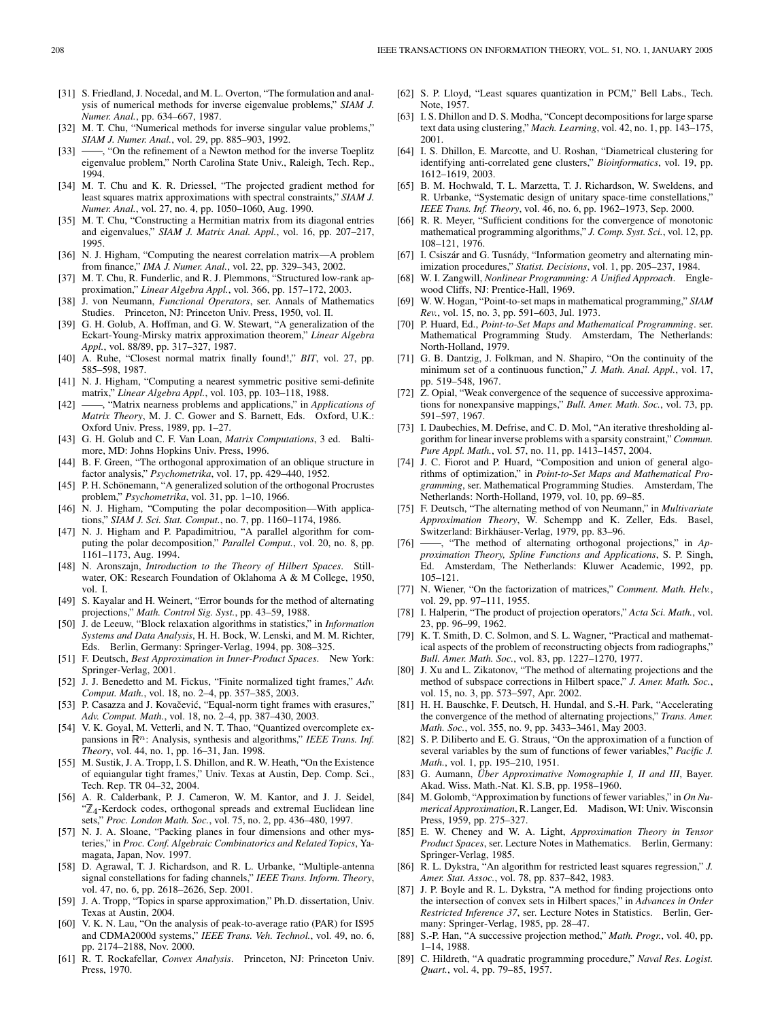- <span id="page-20-0"></span>[31] S. Friedland, J. Nocedal, and M. L. Overton, "The formulation and analysis of numerical methods for inverse eigenvalue problems," *SIAM J. Numer. Anal.*, pp. 634–667, 1987.
- [32] M. T. Chu, "Numerical methods for inverse singular value problems," *SIAM J. Numer. Anal.*, vol. 29, pp. 885–903, 1992.
- [33]  $\rightarrow$  "On the refinement of a Newton method for the inverse Toeplitz eigenvalue problem," North Carolina State Univ., Raleigh, Tech. Rep., 1994.
- [34] M. T. Chu and K. R. Driessel, "The projected gradient method for least squares matrix approximations with spectral constraints," *SIAM J. Numer. Anal.*, vol. 27, no. 4, pp. 1050–1060, Aug. 1990.
- [35] M. T. Chu, "Constructing a Hermitian matrix from its diagonal entries and eigenvalues," *SIAM J. Matrix Anal. Appl.*, vol. 16, pp. 207–217, 1995.
- [36] N. J. Higham, "Computing the nearest correlation matrix—A problem from finance," *IMA J. Numer. Anal.*, vol. 22, pp. 329–343, 2002.
- [37] M. T. Chu, R. Funderlic, and R. J. Plemmons, "Structured low-rank approximation," *Linear Algebra Appl.*, vol. 366, pp. 157–172, 2003.
- [38] J. von Neumann, *Functional Operators*, ser. Annals of Mathematics Studies. Princeton, NJ: Princeton Univ. Press, 1950, vol. II.
- [39] G. H. Golub, A. Hoffman, and G. W. Stewart, "A generalization of the Eckart-Young-Mirsky matrix approximation theorem," *Linear Algebra Appl.*, vol. 88/89, pp. 317–327, 1987.
- [40] A. Ruhe, "Closest normal matrix finally found!," *BIT*, vol. 27, pp. 585–598, 1987.
- [41] N. J. Higham, "Computing a nearest symmetric positive semi-definite matrix," *Linear Algebra Appl.*, vol. 103, pp. 103–118, 1988.
- [42] -, "Matrix nearness problems and applications," in *Applications of Matrix Theory*, M. J. C. Gower and S. Barnett, Eds. Oxford, U.K.: Oxford Univ. Press, 1989, pp. 1–27.
- [43] G. H. Golub and C. F. Van Loan, *Matrix Computations*, 3 ed. Baltimore, MD: Johns Hopkins Univ. Press, 1996.
- [44] B. F. Green, "The orthogonal approximation of an oblique structure in factor analysis," *Psychometrika*, vol. 17, pp. 429–440, 1952.
- [45] P. H. Schönemann, "A generalized solution of the orthogonal Procrustes problem," *Psychometrika*, vol. 31, pp. 1–10, 1966.
- [46] N. J. Higham, "Computing the polar decomposition—With applications," *SIAM J. Sci. Stat. Comput.*, no. 7, pp. 1160–1174, 1986.
- [47] N. J. Higham and P. Papadimitriou, "A parallel algorithm for computing the polar decomposition," *Parallel Comput.*, vol. 20, no. 8, pp. 1161–1173, Aug. 1994.
- [48] N. Aronszajn, *Introduction to the Theory of Hilbert Spaces*. Stillwater, OK: Research Foundation of Oklahoma A & M College, 1950, vol. I.
- [49] S. Kayalar and H. Weinert, "Error bounds for the method of alternating projections," *Math. Control Sig. Syst.*, pp. 43–59, 1988.
- [50] J. de Leeuw, "Block relaxation algorithms in statistics," in *Information Systems and Data Analysis*, H. H. Bock, W. Lenski, and M. M. Richter, Eds. Berlin, Germany: Springer-Verlag, 1994, pp. 308–325.
- [51] F. Deutsch, *Best Approximation in Inner-Product Spaces*. New York: Springer-Verlag, 2001.
- [52] J. J. Benedetto and M. Fickus, "Finite normalized tight frames," *Adv. Comput. Math.*, vol. 18, no. 2–4, pp. 357–385, 2003.
- [53] P. Casazza and J. Kovačević, "Equal-norm tight frames with erasures," *Adv. Comput. Math.*, vol. 18, no. 2–4, pp. 387–430, 2003.
- [54] V. K. Goyal, M. Vetterli, and N. T. Thao, "Quantized overcomplete expansions in  $\mathbb{R}^n$ : Analysis, synthesis and algorithms," *IEEE Trans. Inf. Theory*, vol. 44, no. 1, pp. 16–31, Jan. 1998.
- [55] M. Sustik, J. A. Tropp, I. S. Dhillon, and R. W. Heath, "On the Existence of equiangular tight frames," Univ. Texas at Austin, Dep. Comp. Sci., Tech. Rep. TR 04–32, 2004.
- [56] A. R. Calderbank, P. J. Cameron, W. M. Kantor, and J. J. Seidel,  $Z_4$ -Kerdock codes, orthogonal spreads and extremal Euclidean line sets," *Proc. London Math. Soc.*, vol. 75, no. 2, pp. 436–480, 1997.
- [57] N. J. A. Sloane, "Packing planes in four dimensions and other mysteries," in *Proc. Conf. Algebraic Combinatorics and Related Topics*, Yamagata, Japan, Nov. 1997.
- [58] D. Agrawal, T. J. Richardson, and R. L. Urbanke, "Multiple-antenna signal constellations for fading channels," *IEEE Trans. Inform. Theory*, vol. 47, no. 6, pp. 2618–2626, Sep. 2001.
- [59] J. A. Tropp, "Topics in sparse approximation," Ph.D. dissertation, Univ. Texas at Austin, 2004.
- [60] V. K. N. Lau, "On the analysis of peak-to-average ratio (PAR) for IS95 and CDMA2000d systems," *IEEE Trans. Veh. Technol.*, vol. 49, no. 6, pp. 2174–2188, Nov. 2000.
- [61] R. T. Rockafellar, *Convex Analysis*. Princeton, NJ: Princeton Univ. Press, 1970.
- [62] S. P. Lloyd, "Least squares quantization in PCM," Bell Labs., Tech. Note, 1957.
- [63] I. S. Dhillon and D. S. Modha, "Concept decompositions for large sparse text data using clustering," *Mach. Learning*, vol. 42, no. 1, pp. 143–175, 2001.
- [64] I. S. Dhillon, E. Marcotte, and U. Roshan, "Diametrical clustering for identifying anti-correlated gene clusters," *Bioinformatics*, vol. 19, pp. 1612–1619, 2003.
- [65] B. M. Hochwald, T. L. Marzetta, T. J. Richardson, W. Sweldens, and R. Urbanke, "Systematic design of unitary space-time constellations," *IEEE Trans. Inf. Theory*, vol. 46, no. 6, pp. 1962–1973, Sep. 2000.
- [66] R. R. Meyer, "Sufficient conditions for the convergence of monotonic mathematical programming algorithms," *J. Comp. Syst. Sci.*, vol. 12, pp. 108–121, 1976.
- [67] I. Csiszár and G. Tusnády, "Information geometry and alternating minimization procedures," *Statist. Decisions*, vol. 1, pp. 205–237, 1984.
- [68] W. I. Zangwill, *Nonlinear Programming: A Unified Approach*. Englewood Cliffs, NJ: Prentice-Hall, 1969.
- [69] W. W. Hogan, "Point-to-set maps in mathematical programming," *SIAM Rev.*, vol. 15, no. 3, pp. 591–603, Jul. 1973.
- [70] P. Huard, Ed., *Point-to-Set Maps and Mathematical Programming*. ser. Mathematical Programming Study. Amsterdam, The Netherlands: North-Holland, 1979.
- [71] G. B. Dantzig, J. Folkman, and N. Shapiro, "On the continuity of the minimum set of a continuous function," *J. Math. Anal. Appl.*, vol. 17, pp. 519–548, 1967.
- [72] Z. Opial, "Weak convergence of the sequence of successive approximations for nonexpansive mappings," *Bull. Amer. Math. Soc.*, vol. 73, pp. 591–597, 1967.
- [73] I. Daubechies, M. Defrise, and C. D. Mol, "An iterative thresholding algorithm for linear inverse problems with a sparsity constraint," *Commun. Pure Appl. Math.*, vol. 57, no. 11, pp. 1413–1457, 2004.
- [74] J. C. Fiorot and P. Huard, "Composition and union of general algorithms of optimization," in *Point-to-Set Maps and Mathematical Programming*, ser. Mathematical Programming Studies. Amsterdam, The Netherlands: North-Holland, 1979, vol. 10, pp. 69–85.
- [75] F. Deutsch, "The alternating method of von Neumann," in *Multivariate Approximation Theory*, W. Schempp and K. Zeller, Eds. Basel, Switzerland: Birkhäuser-Verlag, 1979, pp. 83–96.
- [76]  $\rightarrow$  "The method of alternating orthogonal projections," in *Approximation Theory, Spline Functions and Applications*, S. P. Singh, Ed. Amsterdam, The Netherlands: Kluwer Academic, 1992, pp. 105–121.
- [77] N. Wiener, "On the factorization of matrices," *Comment. Math. Helv.*, vol. 29, pp. 97–111, 1955.
- [78] I. Halperin, "The product of projection operators," *Acta Sci. Math.*, vol. 23, pp. 96–99, 1962.
- [79] K. T. Smith, D. C. Solmon, and S. L. Wagner, "Practical and mathematical aspects of the problem of reconstructing objects from radiographs," *Bull. Amer. Math. Soc.*, vol. 83, pp. 1227–1270, 1977.
- [80] J. Xu and L. Zikatonov, "The method of alternating projections and the method of subspace corrections in Hilbert space," *J. Amer. Math. Soc.*, vol. 15, no. 3, pp. 573–597, Apr. 2002.
- [81] H. H. Bauschke, F. Deutsch, H. Hundal, and S.-H. Park, "Accelerating the convergence of the method of alternating projections," *Trans. Amer. Math. Soc.*, vol. 355, no. 9, pp. 3433–3461, May 2003.
- [82] S. P. Diliberto and E. G. Straus, "On the approximation of a function of several variables by the sum of functions of fewer variables," *Pacific J. Math.*, vol. 1, pp. 195–210, 1951.
- [83] G. Aumann, *Über Approximative Nomographie I, II and III*, Bayer. Akad. Wiss. Math.-Nat. Kl. S.B, pp. 1958–1960.
- [84] M. Golomb, "Approximation by functions of fewer variables," in *On Numerical Approximation*, R. Langer, Ed. Madison, WI: Univ. Wisconsin Press, 1959, pp. 275–327.
- [85] E. W. Cheney and W. A. Light, *Approximation Theory in Tensor Product Spaces*, ser. Lecture Notes in Mathematics. Berlin, Germany: Springer-Verlag, 1985.
- [86] R. L. Dykstra, "An algorithm for restricted least squares regression," *J. Amer. Stat. Assoc.*, vol. 78, pp. 837–842, 1983.
- J. P. Boyle and R. L. Dykstra, "A method for finding projections onto the intersection of convex sets in Hilbert spaces," in *Advances in Order Restricted Inference 37*, ser. Lecture Notes in Statistics. Berlin, Germany: Springer-Verlag, 1985, pp. 28–47.
- [88] S.-P. Han, "A successive projection method," *Math. Progr.*, vol. 40, pp. 1–14, 1988.
- [89] C. Hildreth, "A quadratic programming procedure," *Naval Res. Logist. Quart.*, vol. 4, pp. 79–85, 1957.